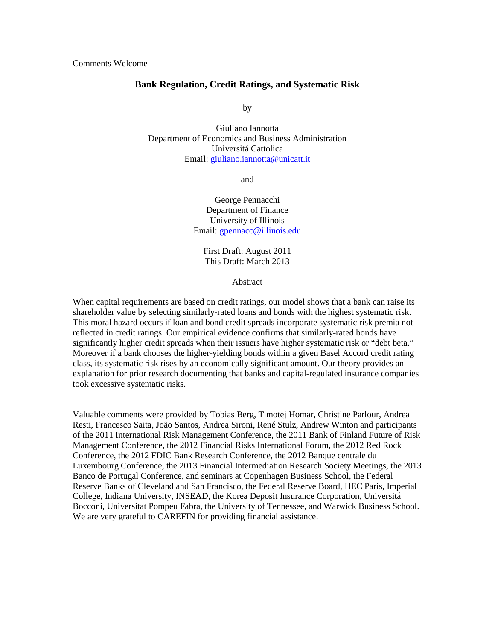Comments Welcome

## **Bank Regulation, Credit Ratings, and Systematic Risk**

by

Giuliano Iannotta Department of Economics and Business Administration Universitá Cattolica Email: [giuliano.iannotta@unicatt.it](mailto:giuliano.iannotta@unicatt.it)

and

George Pennacchi Department of Finance University of Illinois Email: [gpennacc@illinois.edu](mailto:gpennacc@illinois.edu)

First Draft: August 2011 This Draft: March 2013

Abstract

When capital requirements are based on credit ratings, our model shows that a bank can raise its shareholder value by selecting similarly-rated loans and bonds with the highest systematic risk. This moral hazard occurs if loan and bond credit spreads incorporate systematic risk premia not reflected in credit ratings. Our empirical evidence confirms that similarly-rated bonds have significantly higher credit spreads when their issuers have higher systematic risk or "debt beta." Moreover if a bank chooses the higher-yielding bonds within a given Basel Accord credit rating class, its systematic risk rises by an economically significant amount. Our theory provides an explanation for prior research documenting that banks and capital-regulated insurance companies took excessive systematic risks.

Valuable comments were provided by Tobias Berg, Timotej Homar, Christine Parlour, Andrea Resti, Francesco Saita, João Santos, Andrea Sironi, René Stulz, Andrew Winton and participants of the 2011 International Risk Management Conference, the 2011 Bank of Finland Future of Risk Management Conference, the 2012 Financial Risks International Forum, the 2012 Red Rock Conference, the 2012 FDIC Bank Research Conference, the 2012 Banque centrale du Luxembourg Conference, the 2013 Financial Intermediation Research Society Meetings, the 2013 Banco de Portugal Conference, and seminars at Copenhagen Business School, the Federal Reserve Banks of Cleveland and San Francisco, the Federal Reserve Board, HEC Paris, Imperial College, Indiana University, INSEAD, the Korea Deposit Insurance Corporation, Universitá Bocconi, Universitat Pompeu Fabra, the University of Tennessee, and Warwick Business School. We are very grateful to CAREFIN for providing financial assistance.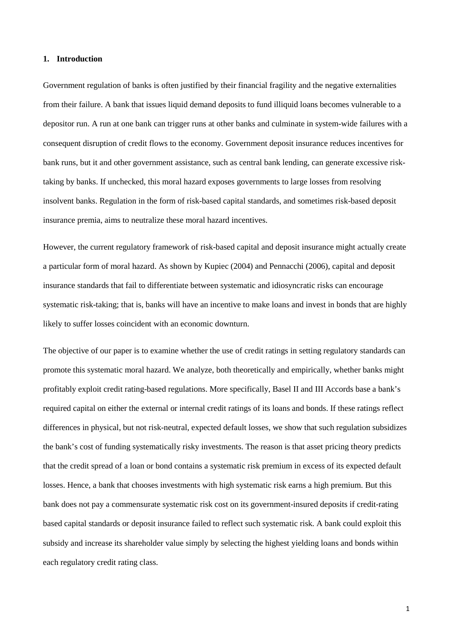# **1. Introduction**

Government regulation of banks is often justified by their financial fragility and the negative externalities from their failure. A bank that issues liquid demand deposits to fund illiquid loans becomes vulnerable to a depositor run. A run at one bank can trigger runs at other banks and culminate in system-wide failures with a consequent disruption of credit flows to the economy. Government deposit insurance reduces incentives for bank runs, but it and other government assistance, such as central bank lending, can generate excessive risktaking by banks. If unchecked, this moral hazard exposes governments to large losses from resolving insolvent banks. Regulation in the form of risk-based capital standards, and sometimes risk-based deposit insurance premia, aims to neutralize these moral hazard incentives.

However, the current regulatory framework of risk-based capital and deposit insurance might actually create a particular form of moral hazard. As shown by Kupiec (2004) and Pennacchi (2006), capital and deposit insurance standards that fail to differentiate between systematic and idiosyncratic risks can encourage systematic risk-taking; that is, banks will have an incentive to make loans and invest in bonds that are highly likely to suffer losses coincident with an economic downturn.

The objective of our paper is to examine whether the use of credit ratings in setting regulatory standards can promote this systematic moral hazard. We analyze, both theoretically and empirically, whether banks might profitably exploit credit rating-based regulations. More specifically, Basel II and III Accords base a bank's required capital on either the external or internal credit ratings of its loans and bonds. If these ratings reflect differences in physical, but not risk-neutral, expected default losses, we show that such regulation subsidizes the bank's cost of funding systematically risky investments. The reason is that asset pricing theory predicts that the credit spread of a loan or bond contains a systematic risk premium in excess of its expected default losses. Hence, a bank that chooses investments with high systematic risk earns a high premium. But this bank does not pay a commensurate systematic risk cost on its government-insured deposits if credit-rating based capital standards or deposit insurance failed to reflect such systematic risk. A bank could exploit this subsidy and increase its shareholder value simply by selecting the highest yielding loans and bonds within each regulatory credit rating class.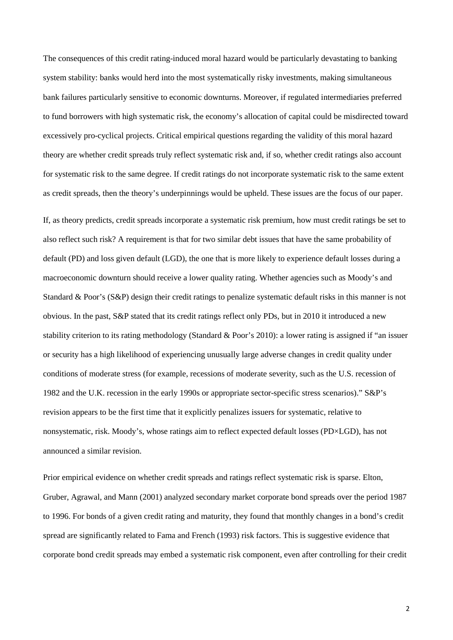The consequences of this credit rating-induced moral hazard would be particularly devastating to banking system stability: banks would herd into the most systematically risky investments, making simultaneous bank failures particularly sensitive to economic downturns. Moreover, if regulated intermediaries preferred to fund borrowers with high systematic risk, the economy's allocation of capital could be misdirected toward excessively pro-cyclical projects. Critical empirical questions regarding the validity of this moral hazard theory are whether credit spreads truly reflect systematic risk and, if so, whether credit ratings also account for systematic risk to the same degree. If credit ratings do not incorporate systematic risk to the same extent as credit spreads, then the theory's underpinnings would be upheld. These issues are the focus of our paper.

If, as theory predicts, credit spreads incorporate a systematic risk premium, how must credit ratings be set to also reflect such risk? A requirement is that for two similar debt issues that have the same probability of default (PD) and loss given default (LGD), the one that is more likely to experience default losses during a macroeconomic downturn should receive a lower quality rating. Whether agencies such as Moody's and Standard & Poor's (S&P) design their credit ratings to penalize systematic default risks in this manner is not obvious. In the past, S&P stated that its credit ratings reflect only PDs, but in 2010 it introduced a new stability criterion to its rating methodology (Standard & Poor's 2010): a lower rating is assigned if "an issuer or security has a high likelihood of experiencing unusually large adverse changes in credit quality under conditions of moderate stress (for example, recessions of moderate severity, such as the U.S. recession of 1982 and the U.K. recession in the early 1990s or appropriate sector-specific stress scenarios)." S&P's revision appears to be the first time that it explicitly penalizes issuers for systematic, relative to nonsystematic, risk. Moody's, whose ratings aim to reflect expected default losses (PD×LGD), has not announced a similar revision.

Prior empirical evidence on whether credit spreads and ratings reflect systematic risk is sparse. Elton, Gruber, Agrawal, and Mann (2001) analyzed secondary market corporate bond spreads over the period 1987 to 1996. For bonds of a given credit rating and maturity, they found that monthly changes in a bond's credit spread are significantly related to Fama and French (1993) risk factors. This is suggestive evidence that corporate bond credit spreads may embed a systematic risk component, even after controlling for their credit

2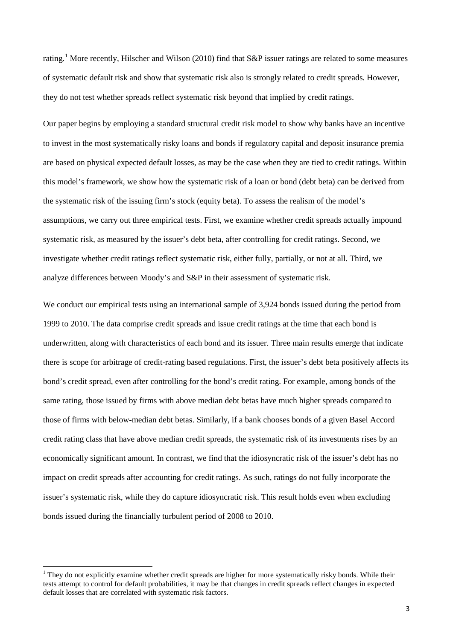rating.[1](#page-3-0) More recently, Hilscher and Wilson (2010) find that S&P issuer ratings are related to some measures of systematic default risk and show that systematic risk also is strongly related to credit spreads. However, they do not test whether spreads reflect systematic risk beyond that implied by credit ratings.

Our paper begins by employing a standard structural credit risk model to show why banks have an incentive to invest in the most systematically risky loans and bonds if regulatory capital and deposit insurance premia are based on physical expected default losses, as may be the case when they are tied to credit ratings. Within this model's framework, we show how the systematic risk of a loan or bond (debt beta) can be derived from the systematic risk of the issuing firm's stock (equity beta). To assess the realism of the model's assumptions, we carry out three empirical tests. First, we examine whether credit spreads actually impound systematic risk, as measured by the issuer's debt beta, after controlling for credit ratings. Second, we investigate whether credit ratings reflect systematic risk, either fully, partially, or not at all. Third, we analyze differences between Moody's and S&P in their assessment of systematic risk.

We conduct our empirical tests using an international sample of 3.924 bonds issued during the period from 1999 to 2010. The data comprise credit spreads and issue credit ratings at the time that each bond is underwritten, along with characteristics of each bond and its issuer. Three main results emerge that indicate there is scope for arbitrage of credit-rating based regulations. First, the issuer's debt beta positively affects its bond's credit spread, even after controlling for the bond's credit rating. For example, among bonds of the same rating, those issued by firms with above median debt betas have much higher spreads compared to those of firms with below-median debt betas. Similarly, if a bank chooses bonds of a given Basel Accord credit rating class that have above median credit spreads, the systematic risk of its investments rises by an economically significant amount. In contrast, we find that the idiosyncratic risk of the issuer's debt has no impact on credit spreads after accounting for credit ratings. As such, ratings do not fully incorporate the issuer's systematic risk, while they do capture idiosyncratic risk. This result holds even when excluding bonds issued during the financially turbulent period of 2008 to 2010.

<span id="page-3-0"></span> $1$  They do not explicitly examine whether credit spreads are higher for more systematically risky bonds. While their tests attempt to control for default probabilities, it may be that changes in credit spreads reflect changes in expected default losses that are correlated with systematic risk factors.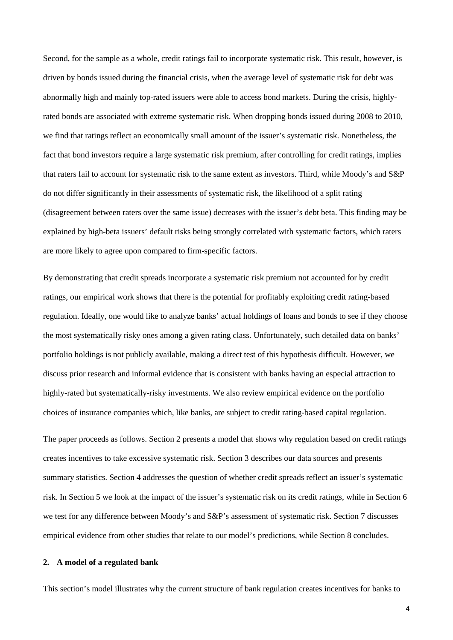Second, for the sample as a whole, credit ratings fail to incorporate systematic risk. This result, however, is driven by bonds issued during the financial crisis, when the average level of systematic risk for debt was abnormally high and mainly top-rated issuers were able to access bond markets. During the crisis, highlyrated bonds are associated with extreme systematic risk. When dropping bonds issued during 2008 to 2010, we find that ratings reflect an economically small amount of the issuer's systematic risk. Nonetheless, the fact that bond investors require a large systematic risk premium, after controlling for credit ratings, implies that raters fail to account for systematic risk to the same extent as investors. Third, while Moody's and S&P do not differ significantly in their assessments of systematic risk, the likelihood of a split rating (disagreement between raters over the same issue) decreases with the issuer's debt beta. This finding may be explained by high-beta issuers' default risks being strongly correlated with systematic factors, which raters are more likely to agree upon compared to firm-specific factors.

By demonstrating that credit spreads incorporate a systematic risk premium not accounted for by credit ratings, our empirical work shows that there is the potential for profitably exploiting credit rating-based regulation. Ideally, one would like to analyze banks' actual holdings of loans and bonds to see if they choose the most systematically risky ones among a given rating class. Unfortunately, such detailed data on banks' portfolio holdings is not publicly available, making a direct test of this hypothesis difficult. However, we discuss prior research and informal evidence that is consistent with banks having an especial attraction to highly-rated but systematically-risky investments. We also review empirical evidence on the portfolio choices of insurance companies which, like banks, are subject to credit rating-based capital regulation.

The paper proceeds as follows. Section 2 presents a model that shows why regulation based on credit ratings creates incentives to take excessive systematic risk. Section 3 describes our data sources and presents summary statistics. Section 4 addresses the question of whether credit spreads reflect an issuer's systematic risk. In Section 5 we look at the impact of the issuer's systematic risk on its credit ratings, while in Section 6 we test for any difference between Moody's and S&P's assessment of systematic risk. Section 7 discusses empirical evidence from other studies that relate to our model's predictions, while Section 8 concludes.

# **2. A model of a regulated bank**

This section's model illustrates why the current structure of bank regulation creates incentives for banks to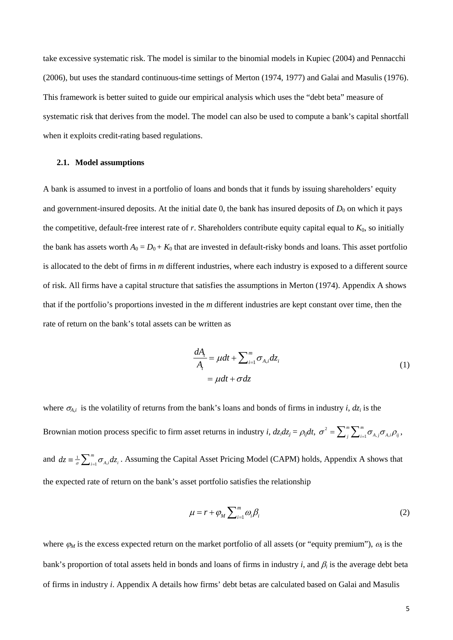take excessive systematic risk. The model is similar to the binomial models in Kupiec (2004) and Pennacchi (2006), but uses the standard continuous-time settings of Merton (1974, 1977) and Galai and Masulis (1976). This framework is better suited to guide our empirical analysis which uses the "debt beta" measure of systematic risk that derives from the model. The model can also be used to compute a bank's capital shortfall when it exploits credit-rating based regulations.

# **2.1. Model assumptions**

A bank is assumed to invest in a portfolio of loans and bonds that it funds by issuing shareholders' equity and government-insured deposits. At the initial date 0, the bank has insured deposits of  $D_0$  on which it pays the competitive, default-free interest rate of  $r$ . Shareholders contribute equity capital equal to  $K_0$ , so initially the bank has assets worth  $A_0 = D_0 + K_0$  that are invested in default-risky bonds and loans. This asset portfolio is allocated to the debt of firms in *m* different industries, where each industry is exposed to a different source of risk. All firms have a capital structure that satisfies the assumptions in Merton (1974). Appendix A shows that if the portfolio's proportions invested in the *m* different industries are kept constant over time, then the rate of return on the bank's total assets can be written as

$$
\frac{dA_i}{A_i} = \mu dt + \sum_{i=1}^{m} \sigma_{A,i} dz_i
$$
  
=  $\mu dt + \sigma dz$  (1)

where  $\sigma_{A,i}$  is the volatility of returns from the bank's loans and bonds of firms in industry *i*,  $dz_i$  is the Brownian motion process specific to firm asset returns in industry *i*,  $dz_i dz_j = \rho_{ij} dt$ ,  $\sigma^2 = \sum_{j=1}^{m} \sum_{i=1}^{m} \sigma_{A,j} \sigma_{A,j}$  $\sigma^2 = \sum_{j}^{m} \sum_{i=1}^{m} \sigma_{A,j} \sigma_{A,i} \rho_{ij}$ and  $dz = \frac{1}{\sigma} \sum_{i=1}^{m} \sigma_{A_i}$  $dz = \frac{1}{\sigma} \sum_{i=1}^{m} \sigma_{A,i} dz_i$ . Assuming the Capital Asset Pricing Model (CAPM) holds, Appendix A shows that the expected rate of return on the bank's asset portfolio satisfies the relationship

$$
\mu = r + \varphi_M \sum_{i=1}^m \omega_i \beta_i \tag{2}
$$

where  $\varphi_M$  is the excess expected return on the market portfolio of all assets (or "equity premium"),  $\omega_i$  is the bank's proportion of total assets held in bonds and loans of firms in industry *i*, and  $\beta_i$  is the average debt beta of firms in industry *i*. Appendix A details how firms' debt betas are calculated based on Galai and Masulis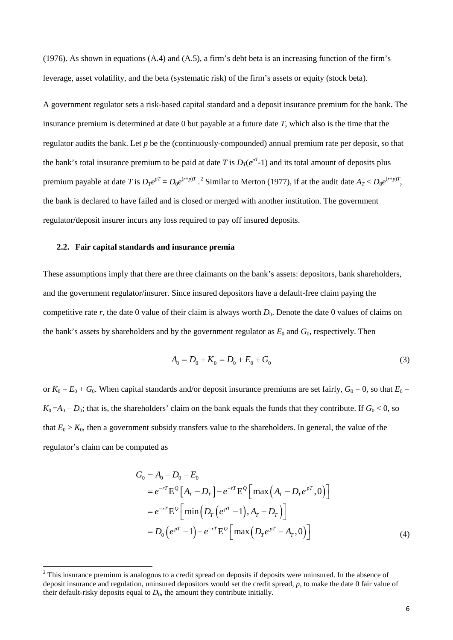(1976). As shown in equations (A.4) and (A.5), a firm's debt beta is an increasing function of the firm's leverage, asset volatility, and the beta (systematic risk) of the firm's assets or equity (stock beta).

A government regulator sets a risk-based capital standard and a deposit insurance premium for the bank. The insurance premium is determined at date 0 but payable at a future date *T*, which also is the time that the regulator audits the bank. Let *p* be the (continuously-compounded) annual premium rate per deposit, so that the bank's total insurance premium to be paid at date *T* is  $D_T(e^{pT}-1)$  and its total amount of deposits plus premium payable at date *T* is  $D_T e^{pT} = D_0 e^{(r+p)T}$ .<sup>[2](#page-6-0)</sup> Similar to Merton (1977), if at the audit date  $A_T < D_0 e^{(r+p)T}$ , the bank is declared to have failed and is closed or merged with another institution. The government regulator/deposit insurer incurs any loss required to pay off insured deposits.

### **2.2. Fair capital standards and insurance premia**

These assumptions imply that there are three claimants on the bank's assets: depositors, bank shareholders, and the government regulator/insurer. Since insured depositors have a default-free claim paying the competitive rate  $r$ , the date 0 value of their claim is always worth  $D_0$ . Denote the date 0 values of claims on the bank's assets by shareholders and by the government regulator as  $E_0$  and  $G_0$ , respectively. Then

$$
A_0 = D_0 + K_0 = D_0 + E_0 + G_0 \tag{3}
$$

or  $K_0 = E_0 + G_0$ . When capital standards and/or deposit insurance premiums are set fairly,  $G_0 = 0$ , so that  $E_0 =$  $K_0 = A_0 - D_0$ ; that is, the shareholders' claim on the bank equals the funds that they contribute. If  $G_0 < 0$ , so that  $E_0 > K_0$ , then a government subsidy transfers value to the shareholders. In general, the value of the regulator's claim can be computed as

$$
G_0 = A_0 - D_0 - E_0
$$
  
=  $e^{-rT} E^{\mathcal{Q}} [A_r - D_r] - e^{-rT} E^{\mathcal{Q}} [\max (A_r - D_r e^{rT}, 0)]$   
=  $e^{-rT} E^{\mathcal{Q}} [\min (D_r (e^{rT} - 1), A_r - D_r)]$   
=  $D_0 (e^{rT} - 1) - e^{-rT} E^{\mathcal{Q}} [\max (D_r e^{rT} - A_r, 0)]$  (4)

<span id="page-6-0"></span><sup>&</sup>lt;sup>2</sup> This insurance premium is analogous to a credit spread on deposits if deposits were uninsured. In the absence of deposit insurance and regulation, uninsured depositors would set the credit spread, *p*, to make the date 0 fair value of their default-risky deposits equal to  $D_0$ , the amount they contribute initially.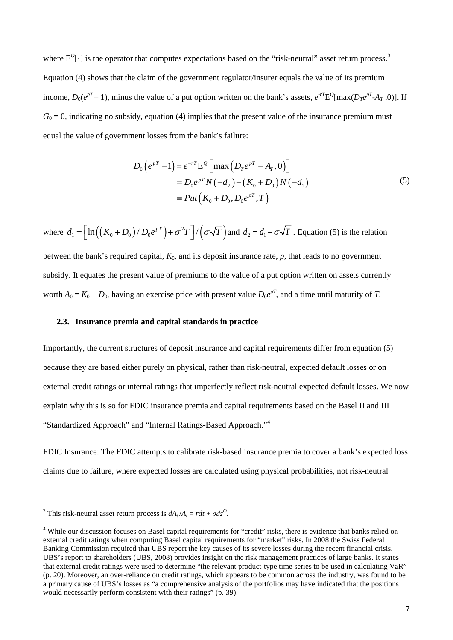where  $E^Q[\cdot]$  is the operator that computes expectations based on the "risk-neutral" asset return process.<sup>[3](#page-7-0)</sup> Equation (4) shows that the claim of the government regulator/insurer equals the value of its premium income,  $D_0(e^{pT}-1)$ , minus the value of a put option written on the bank's assets,  $e^{rT}E^Q[\max(D_Te^{pT}-A_T,0)]$ . If  $G_0 = 0$ , indicating no subsidy, equation (4) implies that the present value of the insurance premium must equal the value of government losses from the bank's failure:

$$
D_0 \left( e^{pT} - 1 \right) = e^{-rT} E^{\mathcal{Q}} \left[ \max \left( D_T e^{pT} - A_T, 0 \right) \right]
$$
  
= 
$$
D_0 e^{pT} N \left( -d_2 \right) - \left( K_0 + D_0 \right) N \left( -d_1 \right)
$$
  
= 
$$
Put \left( K_0 + D_0, D_0 e^{pT}, T \right)
$$
 (5)

where  $d_1 = \left[ \ln \left( \left( K_0 + D_0 \right) / D_0 e^{pT} \right) + \sigma^2 T \right] / \left( \sigma \sqrt{T} \right)$  and  $d_2 = d_1 - \sigma \sqrt{T}$ . Equation (5) is the relation between the bank's required capital,  $K_0$ , and its deposit insurance rate,  $p$ , that leads to no government subsidy. It equates the present value of premiums to the value of a put option written on assets currently worth  $A_0 = K_0 + D_0$ , having an exercise price with present value  $D_0 e^{pT}$ , and a time until maturity of *T*.

## **2.3. Insurance premia and capital standards in practice**

Importantly, the current structures of deposit insurance and capital requirements differ from equation (5) because they are based either purely on physical, rather than risk-neutral, expected default losses or on external credit ratings or internal ratings that imperfectly reflect risk-neutral expected default losses. We now explain why this is so for FDIC insurance premia and capital requirements based on the Basel II and III "Standardized Approach" and "Internal Ratings-Based Approach."[4](#page-7-1)

FDIC Insurance: The FDIC attempts to calibrate risk-based insurance premia to cover a bank's expected loss claims due to failure, where expected losses are calculated using physical probabilities, not risk-neutral

 $\overline{a}$ 

<span id="page-7-0"></span><sup>&</sup>lt;sup>3</sup> This risk-neutral asset return process is  $dA_t/A_t = rdt + \sigma dz^0$ .

<span id="page-7-1"></span><sup>&</sup>lt;sup>4</sup> While our discussion focuses on Basel capital requirements for "credit" risks, there is evidence that banks relied on external credit ratings when computing Basel capital requirements for "market" risks. In 2008 the Swiss Federal Banking Commission required that UBS report the key causes of its severe losses during the recent financial crisis. UBS's report to shareholders (UBS, 2008) provides insight on the risk management practices of large banks. It states that external credit ratings were used to determine "the relevant product-type time series to be used in calculating VaR" (p. 20). Moreover, an over-reliance on credit ratings, which appears to be common across the industry, was found to be a primary cause of UBS's losses as "a comprehensive analysis of the portfolios may have indicated that the positions would necessarily perform consistent with their ratings" (p. 39).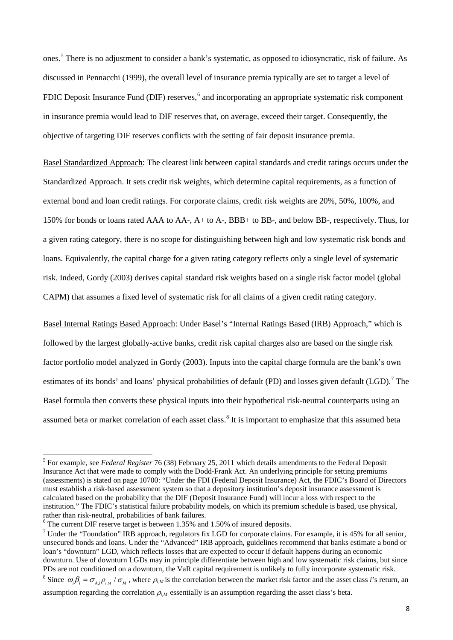ones. [5](#page-8-0) There is no adjustment to consider a bank's systematic, as opposed to idiosyncratic, risk of failure. As discussed in Pennacchi (1999), the overall level of insurance premia typically are set to target a level of FDIC Deposit Insurance Fund (DIF) reserves,<sup>[6](#page-8-1)</sup> and incorporating an appropriate systematic risk component in insurance premia would lead to DIF reserves that, on average, exceed their target. Consequently, the objective of targeting DIF reserves conflicts with the setting of fair deposit insurance premia.

Basel Standardized Approach: The clearest link between capital standards and credit ratings occurs under the Standardized Approach. It sets credit risk weights, which determine capital requirements, as a function of external bond and loan credit ratings. For corporate claims, credit risk weights are 20%, 50%, 100%, and 150% for bonds or loans rated AAA to AA-, A+ to A-, BBB+ to BB-, and below BB-, respectively. Thus, for a given rating category, there is no scope for distinguishing between high and low systematic risk bonds and loans. Equivalently, the capital charge for a given rating category reflects only a single level of systematic risk. Indeed, Gordy (2003) derives capital standard risk weights based on a single risk factor model (global CAPM) that assumes a fixed level of systematic risk for all claims of a given credit rating category.

Basel Internal Ratings Based Approach: Under Basel's "Internal Ratings Based (IRB) Approach," which is followed by the largest globally-active banks, credit risk capital charges also are based on the single risk factor portfolio model analyzed in Gordy (2003). Inputs into the capital charge formula are the bank's own estimates of its bonds' and loans' physical probabilities of default (PD) and losses given default (LGD).<sup>[7](#page-8-2)</sup> The Basel formula then converts these physical inputs into their hypothetical risk-neutral counterparts using an assumed beta or market correlation of each asset class.<sup>[8](#page-8-3)</sup> It is important to emphasize that this assumed beta

<span id="page-8-0"></span><sup>5</sup> For example, see *Federal Register* 76 (38) February 25, 2011 which details amendments to the Federal Deposit Insurance Act that were made to comply with the Dodd-Frank Act. An underlying principle for setting premiums (assessments) is stated on page 10700: "Under the FDI (Federal Deposit Insurance) Act, the FDIC's Board of Directors must establish a risk-based assessment system so that a depository institution's deposit insurance assessment is calculated based on the probability that the DIF (Deposit Insurance Fund) will incur a loss with respect to the institution." The FDIC's statistical failure probability models, on which its premium schedule is based, use physical,

<span id="page-8-1"></span> $6$  The current DIF reserve target is between 1.35% and 1.50% of insured deposits.

<span id="page-8-2"></span> $<sup>7</sup>$  Under the "Foundation" IRB approach, regulators fix LGD for corporate claims. For example, it is 45% for all senior,</sup> unsecured bonds and loans. Under the "Advanced" IRB approach, guidelines recommend that banks estimate a bond or loan's "downturn" LGD, which reflects losses that are expected to occur if default happens during an economic downturn. Use of downturn LGDs may in principle differentiate between high and low systematic risk claims, but since<br>PDs are not conditioned on a downturn, the VaR capital requirement is unlikely to fully incorporate syste

<span id="page-8-3"></span><sup>&</sup>lt;sup>8</sup> Since  $\omega_i \beta_i = \sigma_{i,i} \rho_{i,i} / \sigma_{i}$ , where  $\rho_{i,M}$  is the correlation between the market risk factor and the asset class *i*'s return, an assumption regarding the correlation  $\rho_{i,M}$  essentially is an assumption regarding the asset class's beta.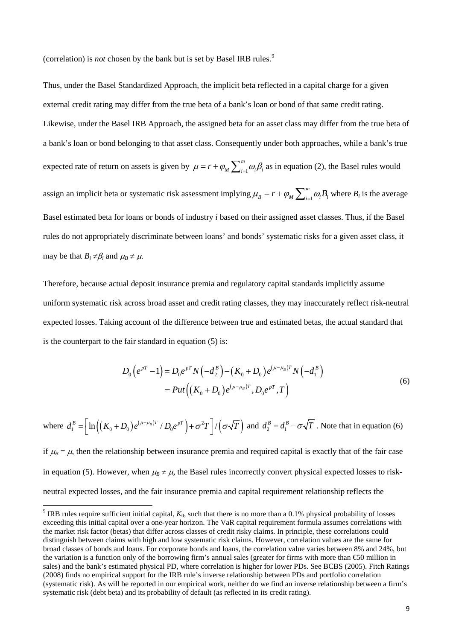(correlation) is *not* chosen by the bank but is set by Basel IRB rules.<sup>[9](#page-9-0)</sup>

Thus, under the Basel Standardized Approach, the implicit beta reflected in a capital charge for a given external credit rating may differ from the true beta of a bank's loan or bond of that same credit rating. Likewise, under the Basel IRB Approach, the assigned beta for an asset class may differ from the true beta of a bank's loan or bond belonging to that asset class. Consequently under both approaches, while a bank's true expected rate of return on assets is given by  $\mu = r + \varphi_M \sum_{i=1}^m \omega_i \beta_i$  as in equation (2), the Basel rules would assign an implicit beta or systematic risk assessment implying  $\mu_B = r + \varphi_M \sum_{i=1}^m \omega_i B_i$  where  $B_i$  is the average Basel estimated beta for loans or bonds of industry *i* based on their assigned asset classes. Thus, if the Basel rules do not appropriately discriminate between loans' and bonds' systematic risks for a given asset class, it may be that  $B_i \neq \beta_i$  and  $\mu_B \neq \mu$ .

Therefore, because actual deposit insurance premia and regulatory capital standards implicitly assume uniform systematic risk across broad asset and credit rating classes, they may inaccurately reflect risk-neutral expected losses. Taking account of the difference between true and estimated betas, the actual standard that is the counterpart to the fair standard in equation (5) is:

$$
D_0 \left( e^{pT} - 1 \right) = D_0 e^{pT} N \left( -d_2^B \right) - \left( K_0 + D_0 \right) e^{(\mu - \mu_B)T} N \left( -d_1^B \right)
$$
  
= 
$$
Put \left( (K_0 + D_0) e^{(\mu - \mu_B)T}, D_0 e^{pT}, T \right)
$$
 (6)

where 
$$
d_1^B = \left[ \ln \left( \left( K_0 + D_0 \right) e^{(\mu - \mu_B)T} / D_0 e^{pT} \right) + \sigma^2 T \right] / \left( \sigma \sqrt{T} \right)
$$
 and  $d_2^B = d_1^B - \sigma \sqrt{T}$ . Note that in equation (6)

if  $\mu_B = \mu$ , then the relationship between insurance premia and required capital is exactly that of the fair case in equation (5). However, when  $\mu_B \neq \mu$ , the Basel rules incorrectly convert physical expected losses to riskneutral expected losses, and the fair insurance premia and capital requirement relationship reflects the

<span id="page-9-0"></span><sup>&</sup>lt;sup>9</sup> IRB rules require sufficient initial capital,  $K_0$ , such that there is no more than a 0.1% physical probability of losses exceeding this initial capital over a one-year horizon. The VaR capital requirement formula assumes correlations with the market risk factor (betas) that differ across classes of credit risky claims. In principle, these correlations could distinguish between claims with high and low systematic risk claims. However, correlation values are the same for broad classes of bonds and loans. For corporate bonds and loans, the correlation value varies between 8% and 24%, but the variation is a function only of the borrowing firm's annual sales (greater for firms with more than  $\epsilon$ 50 million in sales) and the bank's estimated physical PD, where correlation is higher for lower PDs. See BCBS (2005). Fitch Ratings (2008) finds no empirical support for the IRB rule's inverse relationship between PDs and portfolio correlation (systematic risk). As will be reported in our empirical work, neither do we find an inverse relationship between a firm's systematic risk (debt beta) and its probability of default (as reflected in its credit rating).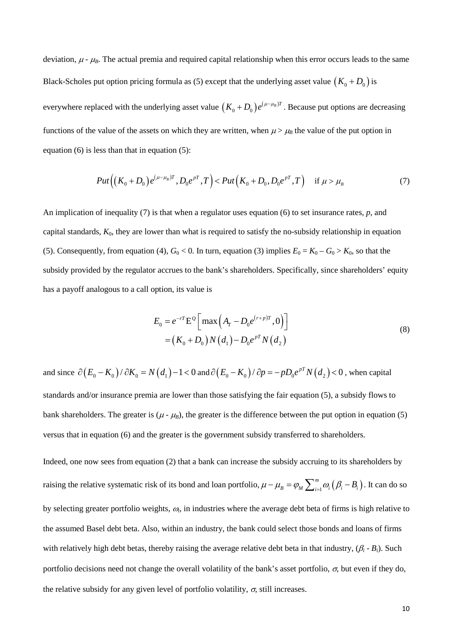deviation,  $\mu$  -  $\mu$ <sub>B</sub>. The actual premia and required capital relationship when this error occurs leads to the same Black-Scholes put option pricing formula as (5) except that the underlying asset value  $(K_0 + D_0)$  is everywhere replaced with the underlying asset value  $(K_0 + D_0) e^{(\mu - \mu_B)T}$ . Because put options are decreasing functions of the value of the assets on which they are written, when  $\mu > \mu_B$  the value of the put option in equation (6) is less than that in equation (5):

$$
Put \left( \left( K_0 + D_0 \right) e^{(\mu - \mu_B)T}, D_0 e^{pT}, T \right) < Put \left( K_0 + D_0, D_0 e^{pT}, T \right) \quad \text{if } \mu > \mu_B \tag{7}
$$

An implication of inequality (7) is that when a regulator uses equation (6) to set insurance rates, *p*, and capital standards, *K*0, they are lower than what is required to satisfy the no-subsidy relationship in equation (5). Consequently, from equation (4),  $G_0 < 0$ . In turn, equation (3) implies  $E_0 = K_0 - G_0 > K_0$ , so that the subsidy provided by the regulator accrues to the bank's shareholders. Specifically, since shareholders' equity has a payoff analogous to a call option, its value is

$$
E_0 = e^{-rT} E^{\mathcal{Q}} \left[ \max \left( A_T - D_0 e^{(r+p)T}, 0 \right) \right]
$$
  
=  $(K_0 + D_0) N(d_1) - D_0 e^{pT} N(d_2)$  (8)

and since  $\partial (E_0 - K_0) / \partial K_0 = N(d_1) - 1 < 0$  and  $\partial (E_0 - K_0) / \partial p = -pD_0 e^{pT} N(d_2) < 0$ , when capital standards and/or insurance premia are lower than those satisfying the fair equation (5), a subsidy flows to bank shareholders. The greater is  $(\mu - \mu_B)$ , the greater is the difference between the put option in equation (5) versus that in equation (6) and the greater is the government subsidy transferred to shareholders.

Indeed, one now sees from equation (2) that a bank can increase the subsidy accruing to its shareholders by raising the relative systematic risk of its bond and loan portfolio,  $\mu - \mu_B = \varphi_M \sum_{i=1}^m \omega_i (\beta_i - B_i)$ . It can do so by selecting greater portfolio weights, <sup>ω</sup>*i*, in industries where the average debt beta of firms is high relative to the assumed Basel debt beta. Also, within an industry, the bank could select those bonds and loans of firms with relatively high debt betas, thereby raising the average relative debt beta in that industry, (β*<sup>i</sup>* - *Bi*). Such portfolio decisions need not change the overall volatility of the bank's asset portfolio,  $\sigma$ , but even if they do, the relative subsidy for any given level of portfolio volatility,  $\sigma$ , still increases.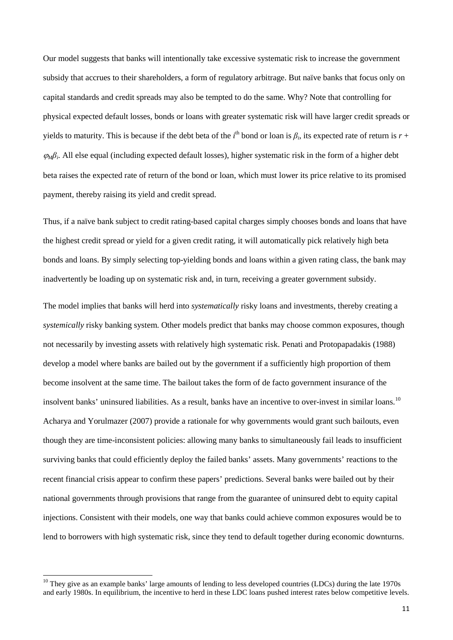Our model suggests that banks will intentionally take excessive systematic risk to increase the government subsidy that accrues to their shareholders, a form of regulatory arbitrage. But naïve banks that focus only on capital standards and credit spreads may also be tempted to do the same. Why? Note that controlling for physical expected default losses, bonds or loans with greater systematic risk will have larger credit spreads or yields to maturity. This is because if the debt beta of the *i*<sup>th</sup> bond or loan is  $\beta_i$ , its expected rate of return is  $r +$ <sup>ϕ</sup>*Mβi*. All else equal (including expected default losses), higher systematic risk in the form of a higher debt beta raises the expected rate of return of the bond or loan, which must lower its price relative to its promised payment, thereby raising its yield and credit spread.

Thus, if a naïve bank subject to credit rating-based capital charges simply chooses bonds and loans that have the highest credit spread or yield for a given credit rating, it will automatically pick relatively high beta bonds and loans. By simply selecting top-yielding bonds and loans within a given rating class, the bank may inadvertently be loading up on systematic risk and, in turn, receiving a greater government subsidy.

The model implies that banks will herd into *systematically* risky loans and investments, thereby creating a *systemically* risky banking system. Other models predict that banks may choose common exposures, though not necessarily by investing assets with relatively high systematic risk. Penati and Protopapadakis (1988) develop a model where banks are bailed out by the government if a sufficiently high proportion of them become insolvent at the same time. The bailout takes the form of de facto government insurance of the insolvent banks' uninsured liabilities. As a result, banks have an incentive to over-invest in similar loans.<sup>[10](#page-11-0)</sup> Acharya and Yorulmazer (2007) provide a rationale for why governments would grant such bailouts, even though they are time-inconsistent policies: allowing many banks to simultaneously fail leads to insufficient surviving banks that could efficiently deploy the failed banks' assets. Many governments' reactions to the recent financial crisis appear to confirm these papers' predictions. Several banks were bailed out by their national governments through provisions that range from the guarantee of uninsured debt to equity capital injections. Consistent with their models, one way that banks could achieve common exposures would be to lend to borrowers with high systematic risk, since they tend to default together during economic downturns.

<span id="page-11-0"></span><sup>&</sup>lt;sup>10</sup> They give as an example banks' large amounts of lending to less developed countries (LDCs) during the late 1970s and early 1980s. In equilibrium, the incentive to herd in these LDC loans pushed interest rates below competitive levels.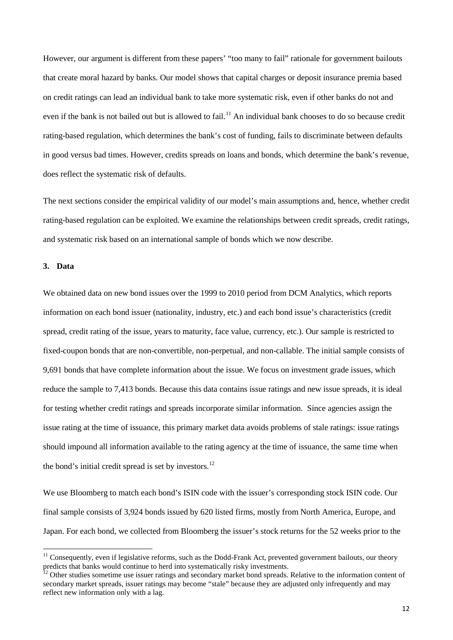However, our argument is different from these papers' "too many to fail" rationale for government bailouts that create moral hazard by banks. Our model shows that capital charges or deposit insurance premia based on credit ratings can lead an individual bank to take more systematic risk, even if other banks do not and even if the bank is not bailed out but is allowed to fail.<sup>[11](#page-12-0)</sup> An individual bank chooses to do so because credit rating-based regulation, which determines the bank's cost of funding, fails to discriminate between defaults in good versus bad times. However, credits spreads on loans and bonds, which determine the bank's revenue, does reflect the systematic risk of defaults.

The next sections consider the empirical validity of our model's main assumptions and, hence, whether credit rating-based regulation can be exploited. We examine the relationships between credit spreads, credit ratings, and systematic risk based on an international sample of bonds which we now describe.

### **3. Data**

We obtained data on new bond issues over the 1999 to 2010 period from DCM Analytics, which reports information on each bond issuer (nationality, industry, etc.) and each bond issue's characteristics (credit spread, credit rating of the issue, years to maturity, face value, currency, etc.). Our sample is restricted to fixed-coupon bonds that are non-convertible, non-perpetual, and non-callable. The initial sample consists of 9,691 bonds that have complete information about the issue. We focus on investment grade issues, which reduce the sample to 7,413 bonds. Because this data contains issue ratings and new issue spreads, it is ideal for testing whether credit ratings and spreads incorporate similar information. Since agencies assign the issue rating at the time of issuance, this primary market data avoids problems of stale ratings: issue ratings should impound all information available to the rating agency at the time of issuance, the same time when the bond's initial credit spread is set by investors. $^{12}$  $^{12}$  $^{12}$ 

We use Bloomberg to match each bond's ISIN code with the issuer's corresponding stock ISIN code. Our final sample consists of 3,924 bonds issued by 620 listed firms, mostly from North America, Europe, and Japan. For each bond, we collected from Bloomberg the issuer's stock returns for the 52 weeks prior to the

<span id="page-12-0"></span> $11$  Consequently, even if legislative reforms, such as the Dodd-Frank Act, prevented government bailouts, our theory predicts that banks would continue to herd into systematically risky investments.<br><sup>12</sup> Other studies sometime use issuer ratings and secondary market bond spreads. Relative to the information content of

<span id="page-12-1"></span>secondary market spreads, issuer ratings may become "stale" because they are adjusted only infrequently and may reflect new information only with a lag.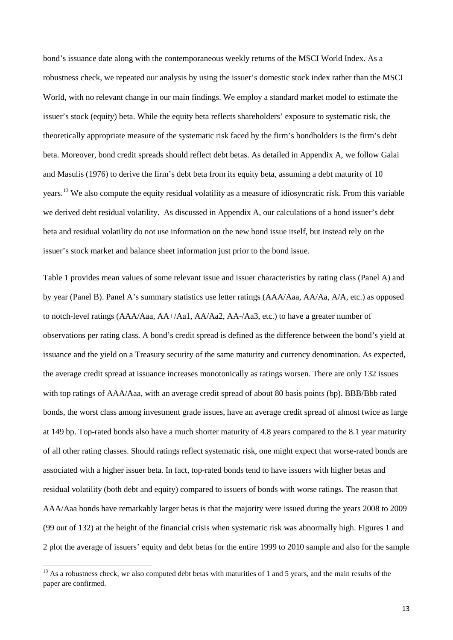bond's issuance date along with the contemporaneous weekly returns of the MSCI World Index. As a robustness check, we repeated our analysis by using the issuer's domestic stock index rather than the MSCI World, with no relevant change in our main findings. We employ a standard market model to estimate the issuer's stock (equity) beta. While the equity beta reflects shareholders' exposure to systematic risk, the theoretically appropriate measure of the systematic risk faced by the firm's bondholders is the firm's debt beta. Moreover, bond credit spreads should reflect debt betas. As detailed in Appendix A, we follow Galai and Masulis (1976) to derive the firm's debt beta from its equity beta, assuming a debt maturity of 10 years.[13](#page-13-0) We also compute the equity residual volatility as a measure of idiosyncratic risk. From this variable we derived debt residual volatility. As discussed in Appendix A, our calculations of a bond issuer's debt beta and residual volatility do not use information on the new bond issue itself, but instead rely on the issuer's stock market and balance sheet information just prior to the bond issue.

Table 1 provides mean values of some relevant issue and issuer characteristics by rating class (Panel A) and by year (Panel B). Panel A's summary statistics use letter ratings (AAA/Aaa, AA/Aa, A/A, etc.) as opposed to notch-level ratings (AAA/Aaa, AA+/Aa1, AA/Aa2, AA-/Aa3, etc.) to have a greater number of observations per rating class. A bond's credit spread is defined as the difference between the bond's yield at issuance and the yield on a Treasury security of the same maturity and currency denomination. As expected, the average credit spread at issuance increases monotonically as ratings worsen. There are only 132 issues with top ratings of AAA/Aaa, with an average credit spread of about 80 basis points (bp). BBB/Bbb rated bonds, the worst class among investment grade issues, have an average credit spread of almost twice as large at 149 bp. Top-rated bonds also have a much shorter maturity of 4.8 years compared to the 8.1 year maturity of all other rating classes. Should ratings reflect systematic risk, one might expect that worse-rated bonds are associated with a higher issuer beta. In fact, top-rated bonds tend to have issuers with higher betas and residual volatility (both debt and equity) compared to issuers of bonds with worse ratings. The reason that AAA/Aaa bonds have remarkably larger betas is that the majority were issued during the years 2008 to 2009 (99 out of 132) at the height of the financial crisis when systematic risk was abnormally high. Figures 1 and 2 plot the average of issuers' equity and debt betas for the entire 1999 to 2010 sample and also for the sample

 $\overline{a}$ 

<span id="page-13-0"></span><sup>&</sup>lt;sup>13</sup> As a robustness check, we also computed debt betas with maturities of 1 and 5 years, and the main results of the paper are confirmed.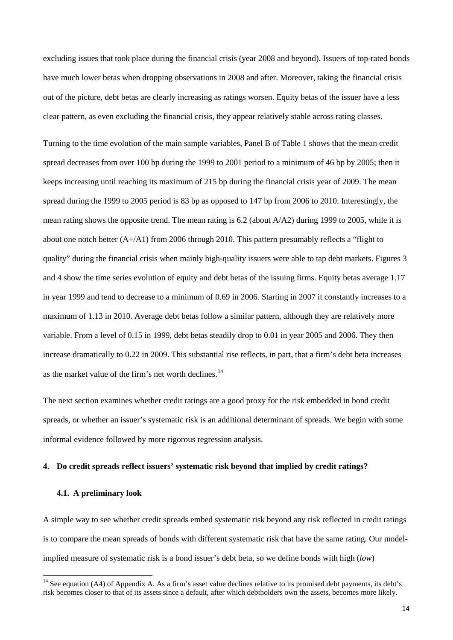excluding issues that took place during the financial crisis (year 2008 and beyond). Issuers of top-rated bonds have much lower betas when dropping observations in 2008 and after. Moreover, taking the financial crisis out of the picture, debt betas are clearly increasing as ratings worsen. Equity betas of the issuer have a less clear pattern, as even excluding the financial crisis, they appear relatively stable across rating classes.

Turning to the time evolution of the main sample variables, Panel B of Table 1 shows that the mean credit spread decreases from over 100 bp during the 1999 to 2001 period to a minimum of 46 bp by 2005; then it keeps increasing until reaching its maximum of 215 bp during the financial crisis year of 2009. The mean spread during the 1999 to 2005 period is 83 bp as opposed to 147 bp from 2006 to 2010. Interestingly, the mean rating shows the opposite trend. The mean rating is 6.2 (about A/A2) during 1999 to 2005, while it is about one notch better (A+/A1) from 2006 through 2010. This pattern presumably reflects a "flight to quality" during the financial crisis when mainly high-quality issuers were able to tap debt markets. Figures 3 and 4 show the time series evolution of equity and debt betas of the issuing firms. Equity betas average 1.17 in year 1999 and tend to decrease to a minimum of 0.69 in 2006. Starting in 2007 it constantly increases to a maximum of 1.13 in 2010. Average debt betas follow a similar pattern, although they are relatively more variable. From a level of 0.15 in 1999, debt betas steadily drop to 0.01 in year 2005 and 2006. They then increase dramatically to 0.22 in 2009. This substantial rise reflects, in part, that a firm's debt beta increases as the market value of the firm's net worth declines.<sup>[14](#page-14-0)</sup>

The next section examines whether credit ratings are a good proxy for the risk embedded in bond credit spreads, or whether an issuer's systematic risk is an additional determinant of spreads. We begin with some informal evidence followed by more rigorous regression analysis.

# **4. Do credit spreads reflect issuers' systematic risk beyond that implied by credit ratings?**

### **4.1. A preliminary look**

A simple way to see whether credit spreads embed systematic risk beyond any risk reflected in credit ratings is to compare the mean spreads of bonds with different systematic risk that have the same rating. Our modelimplied measure of systematic risk is a bond issuer's debt beta, so we define bonds with high (*low*)

<span id="page-14-0"></span><sup>&</sup>lt;sup>14</sup> See equation (A4) of Appendix A. As a firm's asset value declines relative to its promised debt payments, its debt's risk becomes closer to that of its assets since a default, after which debtholders own the assets, becomes more likely.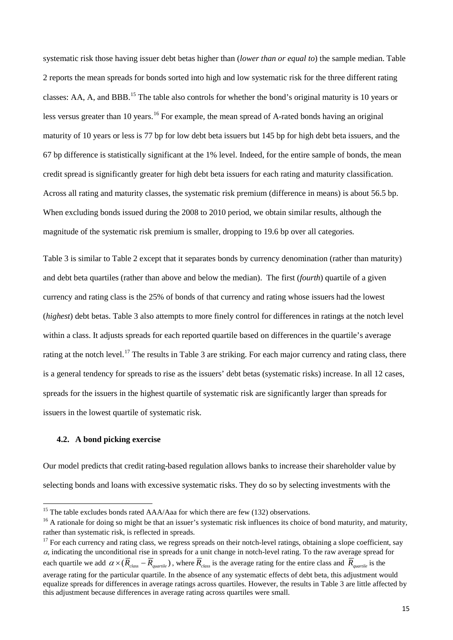systematic risk those having issuer debt betas higher than (*lower than or equal to*) the sample median. Table 2 reports the mean spreads for bonds sorted into high and low systematic risk for the three different rating classes: AA, A, and BBB.[15](#page-15-0) The table also controls for whether the bond's original maturity is 10 years or less versus greater than 10 years.<sup>[16](#page-15-1)</sup> For example, the mean spread of A-rated bonds having an original maturity of 10 years or less is 77 bp for low debt beta issuers but 145 bp for high debt beta issuers, and the 67 bp difference is statistically significant at the 1% level. Indeed, for the entire sample of bonds, the mean credit spread is significantly greater for high debt beta issuers for each rating and maturity classification. Across all rating and maturity classes, the systematic risk premium (difference in means) is about 56.5 bp. When excluding bonds issued during the 2008 to 2010 period, we obtain similar results, although the magnitude of the systematic risk premium is smaller, dropping to 19.6 bp over all categories.

Table 3 is similar to Table 2 except that it separates bonds by currency denomination (rather than maturity) and debt beta quartiles (rather than above and below the median). The first (*fourth*) quartile of a given currency and rating class is the 25% of bonds of that currency and rating whose issuers had the lowest (*highest*) debt betas. Table 3 also attempts to more finely control for differences in ratings at the notch level within a class. It adjusts spreads for each reported quartile based on differences in the quartile's average rating at the notch level.<sup>[17](#page-15-2)</sup> The results in Table 3 are striking. For each major currency and rating class, there is a general tendency for spreads to rise as the issuers' debt betas (systematic risks) increase. In all 12 cases, spreads for the issuers in the highest quartile of systematic risk are significantly larger than spreads for issuers in the lowest quartile of systematic risk.

### **4.2. A bond picking exercise**

**.** 

Our model predicts that credit rating-based regulation allows banks to increase their shareholder value by selecting bonds and loans with excessive systematic risks. They do so by selecting investments with the

<sup>&</sup>lt;sup>15</sup> The table excludes bonds rated  $AAA/A$ aa for which there are few (132) observations.

<span id="page-15-1"></span><span id="page-15-0"></span> $16$  A rationale for doing so might be that an issuer's systematic risk influences its choice of bond maturity, and maturity, rather than systematic risk, is reflected in spreads.

<span id="page-15-2"></span> $17$  For each currency and rating class, we regress spreads on their notch-level ratings, obtaining a slope coefficient, say  $\alpha$ , indicating the unconditional rise in spreads for a unit change in notch-level rating. To the raw average spread for each quartile we add  $\alpha \times (\overline{R}_{class} - \overline{R}_{quartile})$ , where  $\overline{R}_{class}$  is the average rating for the entire class and  $\overline{R}_{quartile}$  is the average rating for the particular quartile. In the absence of any systematic effects of debt beta, this adjustment would equalize spreads for differences in average ratings across quartiles. However, the results in Table 3 are little affected by this adjustment because differences in average rating across quartiles were small.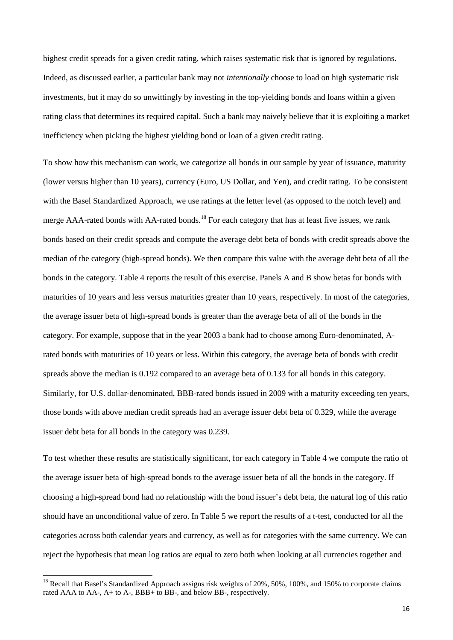highest credit spreads for a given credit rating, which raises systematic risk that is ignored by regulations. Indeed, as discussed earlier, a particular bank may not *intentionally* choose to load on high systematic risk investments, but it may do so unwittingly by investing in the top-yielding bonds and loans within a given rating class that determines its required capital. Such a bank may naively believe that it is exploiting a market inefficiency when picking the highest yielding bond or loan of a given credit rating.

To show how this mechanism can work, we categorize all bonds in our sample by year of issuance, maturity (lower versus higher than 10 years), currency (Euro, US Dollar, and Yen), and credit rating. To be consistent with the Basel Standardized Approach, we use ratings at the letter level (as opposed to the notch level) and merge AAA-rated bonds with AA-rated bonds.<sup>[18](#page-16-0)</sup> For each category that has at least five issues, we rank bonds based on their credit spreads and compute the average debt beta of bonds with credit spreads above the median of the category (high-spread bonds). We then compare this value with the average debt beta of all the bonds in the category. Table 4 reports the result of this exercise. Panels A and B show betas for bonds with maturities of 10 years and less versus maturities greater than 10 years, respectively. In most of the categories, the average issuer beta of high-spread bonds is greater than the average beta of all of the bonds in the category. For example, suppose that in the year 2003 a bank had to choose among Euro-denominated, Arated bonds with maturities of 10 years or less. Within this category, the average beta of bonds with credit spreads above the median is 0.192 compared to an average beta of 0.133 for all bonds in this category. Similarly, for U.S. dollar-denominated, BBB-rated bonds issued in 2009 with a maturity exceeding ten years, those bonds with above median credit spreads had an average issuer debt beta of 0.329, while the average issuer debt beta for all bonds in the category was 0.239.

To test whether these results are statistically significant, for each category in Table 4 we compute the ratio of the average issuer beta of high-spread bonds to the average issuer beta of all the bonds in the category. If choosing a high-spread bond had no relationship with the bond issuer's debt beta, the natural log of this ratio should have an unconditional value of zero. In Table 5 we report the results of a t-test, conducted for all the categories across both calendar years and currency, as well as for categories with the same currency. We can reject the hypothesis that mean log ratios are equal to zero both when looking at all currencies together and

<span id="page-16-0"></span><sup>&</sup>lt;sup>18</sup> Recall that Basel's Standardized Approach assigns risk weights of 20%, 50%, 100%, and 150% to corporate claims rated AAA to AA-, A+ to A-, BBB+ to BB-, and below BB-, respectively.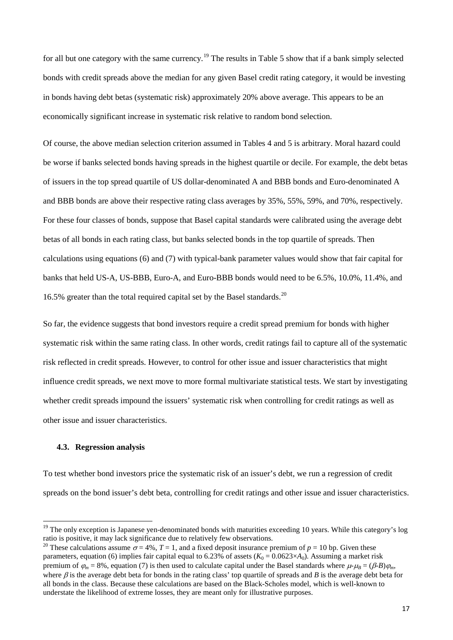for all but one category with the same currency.[19](#page-17-0) The results in Table 5 show that if a bank simply selected bonds with credit spreads above the median for any given Basel credit rating category, it would be investing in bonds having debt betas (systematic risk) approximately 20% above average. This appears to be an economically significant increase in systematic risk relative to random bond selection.

Of course, the above median selection criterion assumed in Tables 4 and 5 is arbitrary. Moral hazard could be worse if banks selected bonds having spreads in the highest quartile or decile. For example, the debt betas of issuers in the top spread quartile of US dollar-denominated A and BBB bonds and Euro-denominated A and BBB bonds are above their respective rating class averages by 35%, 55%, 59%, and 70%, respectively. For these four classes of bonds, suppose that Basel capital standards were calibrated using the average debt betas of all bonds in each rating class, but banks selected bonds in the top quartile of spreads. Then calculations using equations (6) and (7) with typical-bank parameter values would show that fair capital for banks that held US-A, US-BBB, Euro-A, and Euro-BBB bonds would need to be 6.5%, 10.0%, 11.4%, and 16.5% greater than the total required capital set by the Basel standards.<sup>[20](#page-17-1)</sup>

So far, the evidence suggests that bond investors require a credit spread premium for bonds with higher systematic risk within the same rating class. In other words, credit ratings fail to capture all of the systematic risk reflected in credit spreads. However, to control for other issue and issuer characteristics that might influence credit spreads, we next move to more formal multivariate statistical tests. We start by investigating whether credit spreads impound the issuers' systematic risk when controlling for credit ratings as well as other issue and issuer characteristics.

# **4.3. Regression analysis**

To test whether bond investors price the systematic risk of an issuer's debt, we run a regression of credit spreads on the bond issuer's debt beta, controlling for credit ratings and other issue and issuer characteristics.

<span id="page-17-0"></span> $19$  The only exception is Japanese yen-denominated bonds with maturities exceeding 10 years. While this category's log ratio is positive, it may lack significance due to relatively few observations.

<span id="page-17-1"></span><sup>&</sup>lt;sup>20</sup> These calculations assume  $\sigma = 4\%$ ,  $T = 1$ , and a fixed deposit insurance premium of  $p = 10$  bp. Given these parameters, equation (6) implies fair capital equal to 6.23% of assets  $(K_0 = 0.0623 \times A_0)$ . Assuming a market risk premium of  $\varphi_m = 8\%$ , equation (7) is then used to calculate capital under the Basel standards where  $\mu \cdot \mu_R = (\beta \cdot B) \varphi_m$ . where  $\beta$  is the average debt beta for bonds in the rating class' top quartile of spreads and  $B$  is the average debt beta for all bonds in the class. Because these calculations are based on the Black-Scholes model, which is well-known to understate the likelihood of extreme losses, they are meant only for illustrative purposes.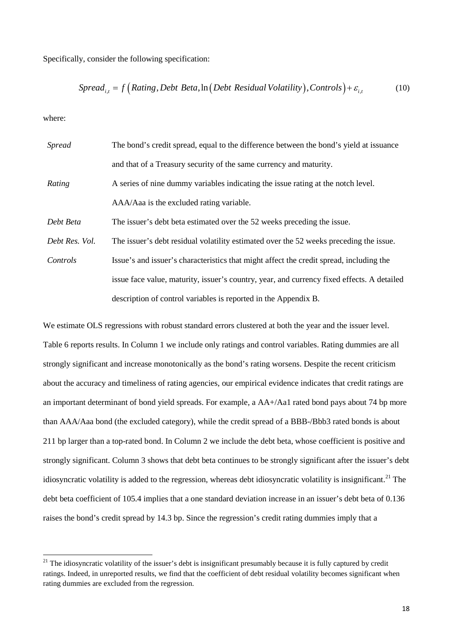Specifically, consider the following specification:

$$
Spread_{i,t} = f(Rating, Debt Beta, ln(Debt Residual Volatility), Controls) + \varepsilon_{i,t}
$$
 (10)

where:

| <b>Spread</b>  | The bond's credit spread, equal to the difference between the bond's yield at issuance     |
|----------------|--------------------------------------------------------------------------------------------|
|                | and that of a Treasury security of the same currency and maturity.                         |
| Rating         | A series of nine dummy variables indicating the issue rating at the notch level.           |
|                | AAA/Aaa is the excluded rating variable.                                                   |
| Debt Beta      | The issuer's debt beta estimated over the 52 weeks preceding the issue.                    |
| Debt Res. Vol. | The issuer's debt residual volatility estimated over the 52 weeks preceding the issue.     |
| Controls       | Issue's and issuer's characteristics that might affect the credit spread, including the    |
|                | issue face value, maturity, issuer's country, year, and currency fixed effects. A detailed |
|                | description of control variables is reported in the Appendix B.                            |

We estimate OLS regressions with robust standard errors clustered at both the year and the issuer level. Table 6 reports results. In Column 1 we include only ratings and control variables. Rating dummies are all strongly significant and increase monotonically as the bond's rating worsens. Despite the recent criticism about the accuracy and timeliness of rating agencies, our empirical evidence indicates that credit ratings are an important determinant of bond yield spreads. For example, a AA+/Aa1 rated bond pays about 74 bp more than AAA/Aaa bond (the excluded category), while the credit spread of a BBB-/Bbb3 rated bonds is about 211 bp larger than a top-rated bond. In Column 2 we include the debt beta, whose coefficient is positive and strongly significant. Column 3 shows that debt beta continues to be strongly significant after the issuer's debt idiosyncratic volatility is added to the regression, whereas debt idiosyncratic volatility is insignificant.<sup>[21](#page-18-0)</sup> The debt beta coefficient of 105.4 implies that a one standard deviation increase in an issuer's debt beta of 0.136 raises the bond's credit spread by 14.3 bp. Since the regression's credit rating dummies imply that a

<span id="page-18-0"></span> $21$  The idiosyncratic volatility of the issuer's debt is insignificant presumably because it is fully captured by credit ratings. Indeed, in unreported results, we find that the coefficient of debt residual volatility becomes significant when rating dummies are excluded from the regression.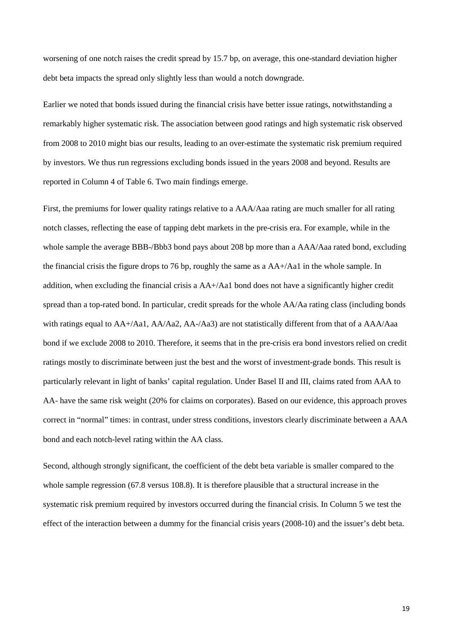worsening of one notch raises the credit spread by 15.7 bp, on average, this one-standard deviation higher debt beta impacts the spread only slightly less than would a notch downgrade.

Earlier we noted that bonds issued during the financial crisis have better issue ratings, notwithstanding a remarkably higher systematic risk. The association between good ratings and high systematic risk observed from 2008 to 2010 might bias our results, leading to an over-estimate the systematic risk premium required by investors. We thus run regressions excluding bonds issued in the years 2008 and beyond. Results are reported in Column 4 of Table 6. Two main findings emerge.

First, the premiums for lower quality ratings relative to a AAA/Aaa rating are much smaller for all rating notch classes, reflecting the ease of tapping debt markets in the pre-crisis era. For example, while in the whole sample the average BBB-/Bbb3 bond pays about 208 bp more than a AAA/Aaa rated bond, excluding the financial crisis the figure drops to 76 bp, roughly the same as a AA+/Aa1 in the whole sample. In addition, when excluding the financial crisis a  $AA + / Aa1$  bond does not have a significantly higher credit spread than a top-rated bond. In particular, credit spreads for the whole AA/Aa rating class (including bonds with ratings equal to AA+/Aa1, AA/Aa2, AA-/Aa3) are not statistically different from that of a AAA/Aaa bond if we exclude 2008 to 2010. Therefore, it seems that in the pre-crisis era bond investors relied on credit ratings mostly to discriminate between just the best and the worst of investment-grade bonds. This result is particularly relevant in light of banks' capital regulation. Under Basel II and III, claims rated from AAA to AA- have the same risk weight (20% for claims on corporates). Based on our evidence, this approach proves correct in "normal" times: in contrast, under stress conditions, investors clearly discriminate between a AAA bond and each notch-level rating within the AA class.

Second, although strongly significant, the coefficient of the debt beta variable is smaller compared to the whole sample regression (67.8 versus 108.8). It is therefore plausible that a structural increase in the systematic risk premium required by investors occurred during the financial crisis. In Column 5 we test the effect of the interaction between a dummy for the financial crisis years (2008-10) and the issuer's debt beta.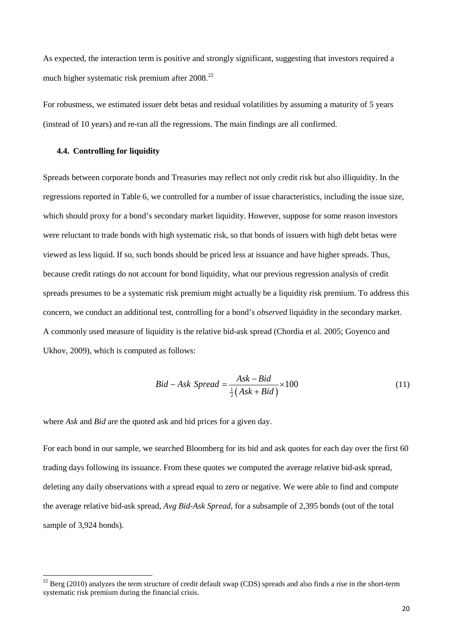As expected, the interaction term is positive and strongly significant, suggesting that investors required a much higher systematic risk premium after 2008.<sup>[22](#page-20-0)</sup>

For robustness, we estimated issuer debt betas and residual volatilities by assuming a maturity of 5 years (instead of 10 years) and re-ran all the regressions. The main findings are all confirmed.

### **4.4. Controlling for liquidity**

Spreads between corporate bonds and Treasuries may reflect not only credit risk but also illiquidity. In the regressions reported in Table 6, we controlled for a number of issue characteristics, including the issue size, which should proxy for a bond's secondary market liquidity. However, suppose for some reason investors were reluctant to trade bonds with high systematic risk, so that bonds of issuers with high debt betas were viewed as less liquid. If so, such bonds should be priced less at issuance and have higher spreads. Thus, because credit ratings do not account for bond liquidity, what our previous regression analysis of credit spreads presumes to be a systematic risk premium might actually be a liquidity risk premium. To address this concern, we conduct an additional test, controlling for a bond's *observed* liquidity in the secondary market. A commonly used measure of liquidity is the relative bid-ask spread (Chordia et al. 2005; Goyenco and Ukhov, 2009), which is computed as follows:

$$
Bid - Ask\ Spread = \frac{Ask - Bid}{\frac{1}{2}(Ask + Bid)} \times 100\tag{11}
$$

where *Ask* and *Bid* are the quoted ask and bid prices for a given day.

For each bond in our sample, we searched Bloomberg for its bid and ask quotes for each day over the first 60 trading days following its issuance. From these quotes we computed the average relative bid-ask spread, deleting any daily observations with a spread equal to zero or negative. We were able to find and compute the average relative bid-ask spread, *Avg Bid-Ask Spread*, for a subsample of 2,395 bonds (out of the total sample of 3,924 bonds).

<span id="page-20-0"></span> $^{22}$  Berg (2010) analyzes the term structure of credit default swap (CDS) spreads and also finds a rise in the short-term systematic risk premium during the financial crisis.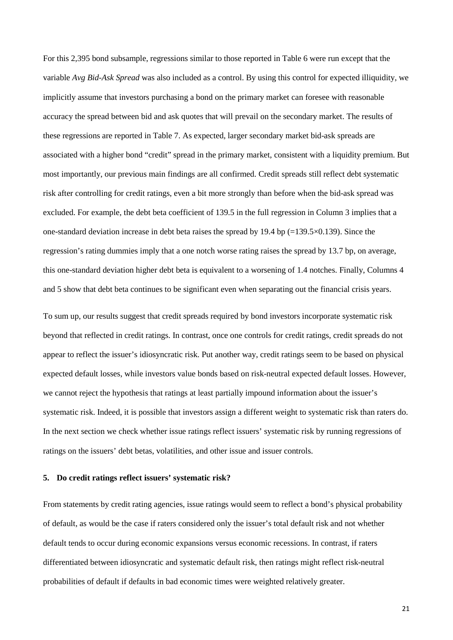For this 2,395 bond subsample, regressions similar to those reported in Table 6 were run except that the variable *Avg Bid-Ask Spread* was also included as a control. By using this control for expected illiquidity, we implicitly assume that investors purchasing a bond on the primary market can foresee with reasonable accuracy the spread between bid and ask quotes that will prevail on the secondary market. The results of these regressions are reported in Table 7. As expected, larger secondary market bid-ask spreads are associated with a higher bond "credit" spread in the primary market, consistent with a liquidity premium. But most importantly, our previous main findings are all confirmed. Credit spreads still reflect debt systematic risk after controlling for credit ratings, even a bit more strongly than before when the bid-ask spread was excluded. For example, the debt beta coefficient of 139.5 in the full regression in Column 3 implies that a one-standard deviation increase in debt beta raises the spread by 19.4 bp  $(=139.5\times0.139)$ . Since the regression's rating dummies imply that a one notch worse rating raises the spread by 13.7 bp, on average, this one-standard deviation higher debt beta is equivalent to a worsening of 1.4 notches. Finally, Columns 4 and 5 show that debt beta continues to be significant even when separating out the financial crisis years.

To sum up, our results suggest that credit spreads required by bond investors incorporate systematic risk beyond that reflected in credit ratings. In contrast, once one controls for credit ratings, credit spreads do not appear to reflect the issuer's idiosyncratic risk. Put another way, credit ratings seem to be based on physical expected default losses, while investors value bonds based on risk-neutral expected default losses. However, we cannot reject the hypothesis that ratings at least partially impound information about the issuer's systematic risk. Indeed, it is possible that investors assign a different weight to systematic risk than raters do. In the next section we check whether issue ratings reflect issuers' systematic risk by running regressions of ratings on the issuers' debt betas, volatilities, and other issue and issuer controls.

# **5. Do credit ratings reflect issuers' systematic risk?**

From statements by credit rating agencies, issue ratings would seem to reflect a bond's physical probability of default, as would be the case if raters considered only the issuer's total default risk and not whether default tends to occur during economic expansions versus economic recessions. In contrast, if raters differentiated between idiosyncratic and systematic default risk, then ratings might reflect risk-neutral probabilities of default if defaults in bad economic times were weighted relatively greater.

21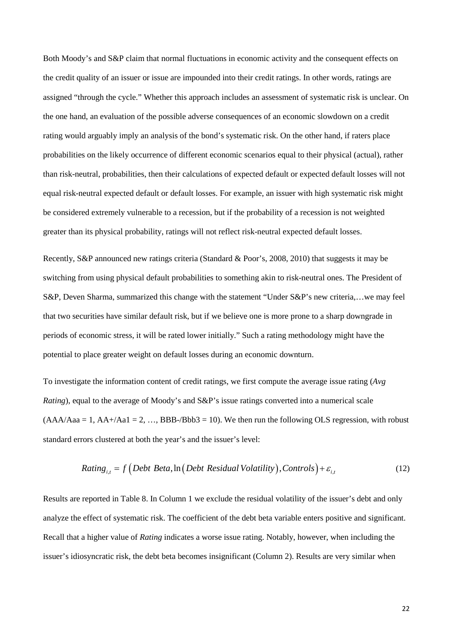Both Moody's and S&P claim that normal fluctuations in economic activity and the consequent effects on the credit quality of an issuer or issue are impounded into their credit ratings. In other words, ratings are assigned "through the cycle." Whether this approach includes an assessment of systematic risk is unclear. On the one hand, an evaluation of the possible adverse consequences of an economic slowdown on a credit rating would arguably imply an analysis of the bond's systematic risk. On the other hand, if raters place probabilities on the likely occurrence of different economic scenarios equal to their physical (actual), rather than risk-neutral, probabilities, then their calculations of expected default or expected default losses will not equal risk-neutral expected default or default losses. For example, an issuer with high systematic risk might be considered extremely vulnerable to a recession, but if the probability of a recession is not weighted greater than its physical probability, ratings will not reflect risk-neutral expected default losses.

Recently, S&P announced new ratings criteria (Standard & Poor's, 2008, 2010) that suggests it may be switching from using physical default probabilities to something akin to risk-neutral ones. The President of S&P, Deven Sharma, summarized this change with the statement "Under S&P's new criteria,…we may feel that two securities have similar default risk, but if we believe one is more prone to a sharp downgrade in periods of economic stress, it will be rated lower initially." Such a rating methodology might have the potential to place greater weight on default losses during an economic downturn.

To investigate the information content of credit ratings, we first compute the average issue rating (*Avg Rating*), equal to the average of Moody's and S&P's issue ratings converted into a numerical scale  $(AAA/Aaa = 1, AA+/Aa1 = 2, ..., BBB/Bbb3 = 10)$ . We then run the following OLS regression, with robust standard errors clustered at both the year's and the issuer's level:

$$
Rating_{i,t} = f\left(Debt Beta, \ln\left(Debt Residual Volatility\right), Controls\right) + \varepsilon_{i,t}
$$
\n(12)

Results are reported in Table 8. In Column 1 we exclude the residual volatility of the issuer's debt and only analyze the effect of systematic risk. The coefficient of the debt beta variable enters positive and significant. Recall that a higher value of *Rating* indicates a worse issue rating. Notably, however, when including the issuer's idiosyncratic risk, the debt beta becomes insignificant (Column 2). Results are very similar when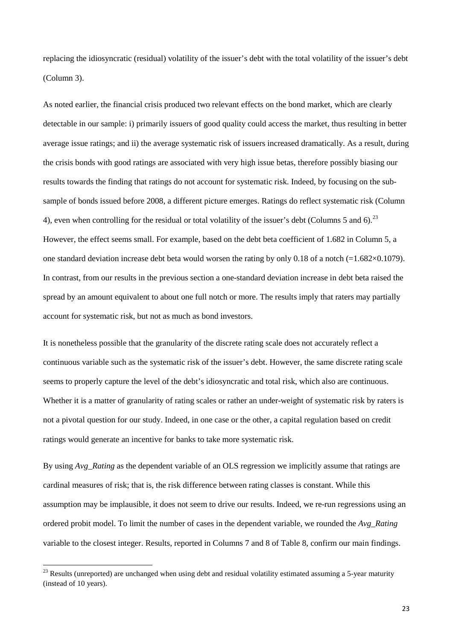replacing the idiosyncratic (residual) volatility of the issuer's debt with the total volatility of the issuer's debt (Column 3).

As noted earlier, the financial crisis produced two relevant effects on the bond market, which are clearly detectable in our sample: i) primarily issuers of good quality could access the market, thus resulting in better average issue ratings; and ii) the average systematic risk of issuers increased dramatically. As a result, during the crisis bonds with good ratings are associated with very high issue betas, therefore possibly biasing our results towards the finding that ratings do not account for systematic risk. Indeed, by focusing on the subsample of bonds issued before 2008, a different picture emerges. Ratings do reflect systematic risk (Column 4), even when controlling for the residual or total volatility of the issuer's debt (Columns 5 and 6).<sup>[23](#page-23-0)</sup> However, the effect seems small. For example, based on the debt beta coefficient of 1.682 in Column 5, a one standard deviation increase debt beta would worsen the rating by only 0.18 of a notch (=1.682×0.1079). In contrast, from our results in the previous section a one-standard deviation increase in debt beta raised the spread by an amount equivalent to about one full notch or more. The results imply that raters may partially account for systematic risk, but not as much as bond investors.

It is nonetheless possible that the granularity of the discrete rating scale does not accurately reflect a continuous variable such as the systematic risk of the issuer's debt. However, the same discrete rating scale seems to properly capture the level of the debt's idiosyncratic and total risk, which also are continuous. Whether it is a matter of granularity of rating scales or rather an under-weight of systematic risk by raters is not a pivotal question for our study. Indeed, in one case or the other, a capital regulation based on credit ratings would generate an incentive for banks to take more systematic risk.

By using *Avg\_Rating* as the dependent variable of an OLS regression we implicitly assume that ratings are cardinal measures of risk; that is, the risk difference between rating classes is constant. While this assumption may be implausible, it does not seem to drive our results. Indeed, we re-run regressions using an ordered probit model. To limit the number of cases in the dependent variable, we rounded the *Avg\_Rating* variable to the closest integer. Results, reported in Columns 7 and 8 of Table 8, confirm our main findings.

 $\overline{a}$ 

<span id="page-23-0"></span> $23$  Results (unreported) are unchanged when using debt and residual volatility estimated assuming a 5-year maturity (instead of 10 years).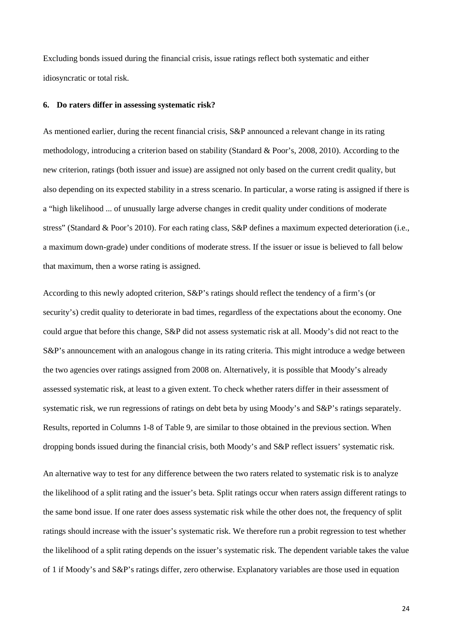Excluding bonds issued during the financial crisis, issue ratings reflect both systematic and either idiosyncratic or total risk.

## **6. Do raters differ in assessing systematic risk?**

As mentioned earlier, during the recent financial crisis, S&P announced a relevant change in its rating methodology, introducing a criterion based on stability (Standard & Poor's, 2008, 2010). According to the new criterion, ratings (both issuer and issue) are assigned not only based on the current credit quality, but also depending on its expected stability in a stress scenario. In particular, a worse rating is assigned if there is a "high likelihood ... of unusually large adverse changes in credit quality under conditions of moderate stress" (Standard & Poor's 2010). For each rating class, S&P defines a maximum expected deterioration (i.e., a maximum down-grade) under conditions of moderate stress. If the issuer or issue is believed to fall below that maximum, then a worse rating is assigned.

According to this newly adopted criterion, S&P's ratings should reflect the tendency of a firm's (or security's) credit quality to deteriorate in bad times, regardless of the expectations about the economy. One could argue that before this change, S&P did not assess systematic risk at all. Moody's did not react to the S&P's announcement with an analogous change in its rating criteria. This might introduce a wedge between the two agencies over ratings assigned from 2008 on. Alternatively, it is possible that Moody's already assessed systematic risk, at least to a given extent. To check whether raters differ in their assessment of systematic risk, we run regressions of ratings on debt beta by using Moody's and S&P's ratings separately. Results, reported in Columns 1-8 of Table 9, are similar to those obtained in the previous section. When dropping bonds issued during the financial crisis, both Moody's and S&P reflect issuers' systematic risk.

An alternative way to test for any difference between the two raters related to systematic risk is to analyze the likelihood of a split rating and the issuer's beta. Split ratings occur when raters assign different ratings to the same bond issue. If one rater does assess systematic risk while the other does not, the frequency of split ratings should increase with the issuer's systematic risk. We therefore run a probit regression to test whether the likelihood of a split rating depends on the issuer's systematic risk. The dependent variable takes the value of 1 if Moody's and S&P's ratings differ, zero otherwise. Explanatory variables are those used in equation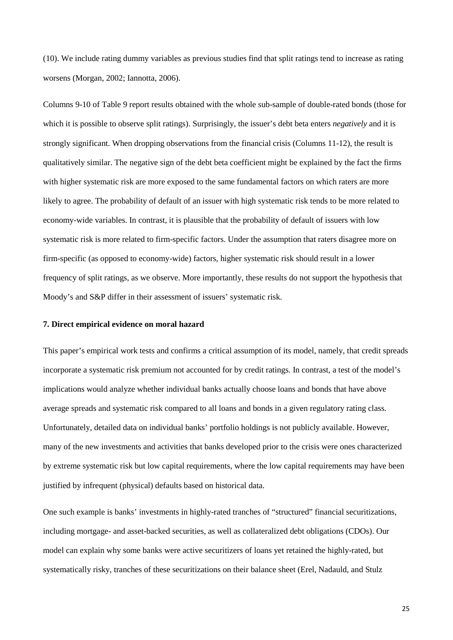(10). We include rating dummy variables as previous studies find that split ratings tend to increase as rating worsens (Morgan, 2002; Iannotta, 2006).

Columns 9-10 of Table 9 report results obtained with the whole sub-sample of double-rated bonds (those for which it is possible to observe split ratings). Surprisingly, the issuer's debt beta enters *negatively* and it is strongly significant. When dropping observations from the financial crisis (Columns 11-12), the result is qualitatively similar. The negative sign of the debt beta coefficient might be explained by the fact the firms with higher systematic risk are more exposed to the same fundamental factors on which raters are more likely to agree. The probability of default of an issuer with high systematic risk tends to be more related to economy-wide variables. In contrast, it is plausible that the probability of default of issuers with low systematic risk is more related to firm-specific factors. Under the assumption that raters disagree more on firm-specific (as opposed to economy-wide) factors, higher systematic risk should result in a lower frequency of split ratings, as we observe. More importantly, these results do not support the hypothesis that Moody's and S&P differ in their assessment of issuers' systematic risk.

### **7. Direct empirical evidence on moral hazard**

This paper's empirical work tests and confirms a critical assumption of its model, namely, that credit spreads incorporate a systematic risk premium not accounted for by credit ratings. In contrast, a test of the model's implications would analyze whether individual banks actually choose loans and bonds that have above average spreads and systematic risk compared to all loans and bonds in a given regulatory rating class. Unfortunately, detailed data on individual banks' portfolio holdings is not publicly available. However, many of the new investments and activities that banks developed prior to the crisis were ones characterized by extreme systematic risk but low capital requirements, where the low capital requirements may have been justified by infrequent (physical) defaults based on historical data.

One such example is banks' investments in highly-rated tranches of "structured" financial securitizations, including mortgage- and asset-backed securities, as well as collateralized debt obligations (CDOs). Our model can explain why some banks were active securitizers of loans yet retained the highly-rated, but systematically risky, tranches of these securitizations on their balance sheet (Erel, Nadauld, and Stulz

25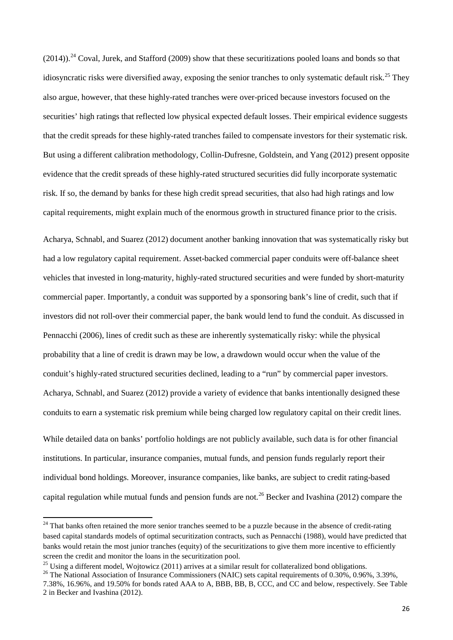$(2014)$ .<sup>[24](#page-26-0)</sup> Coval, Jurek, and Stafford (2009) show that these securitizations pooled loans and bonds so that idiosyncratic risks were diversified away, exposing the senior tranches to only systematic default risk.<sup>[25](#page-26-1)</sup> They also argue, however, that these highly-rated tranches were over-priced because investors focused on the securities' high ratings that reflected low physical expected default losses. Their empirical evidence suggests that the credit spreads for these highly-rated tranches failed to compensate investors for their systematic risk. But using a different calibration methodology, Collin-Dufresne, Goldstein, and Yang (2012) present opposite evidence that the credit spreads of these highly-rated structured securities did fully incorporate systematic risk. If so, the demand by banks for these high credit spread securities, that also had high ratings and low capital requirements, might explain much of the enormous growth in structured finance prior to the crisis.

Acharya, Schnabl, and Suarez (2012) document another banking innovation that was systematically risky but had a low regulatory capital requirement. Asset-backed commercial paper conduits were off-balance sheet vehicles that invested in long-maturity, highly-rated structured securities and were funded by short-maturity commercial paper. Importantly, a conduit was supported by a sponsoring bank's line of credit, such that if investors did not roll-over their commercial paper, the bank would lend to fund the conduit. As discussed in Pennacchi (2006), lines of credit such as these are inherently systematically risky: while the physical probability that a line of credit is drawn may be low, a drawdown would occur when the value of the conduit's highly-rated structured securities declined, leading to a "run" by commercial paper investors. Acharya, Schnabl, and Suarez (2012) provide a variety of evidence that banks intentionally designed these conduits to earn a systematic risk premium while being charged low regulatory capital on their credit lines.

While detailed data on banks' portfolio holdings are not publicly available, such data is for other financial institutions. In particular, insurance companies, mutual funds, and pension funds regularly report their individual bond holdings. Moreover, insurance companies, like banks, are subject to credit rating-based capital regulation while mutual funds and pension funds are not. [26](#page-26-2) Becker and Ivashina (2012) compare the

**.** 

<span id="page-26-0"></span> $24$  That banks often retained the more senior tranches seemed to be a puzzle because in the absence of credit-rating based capital standards models of optimal securitization contracts, such as Pennacchi (1988), would have predicted that banks would retain the most junior tranches (equity) of the securitizations to give them more incentive to efficiently screen the credit and monitor the loans in the securitization pool.

<span id="page-26-1"></span><sup>&</sup>lt;sup>25</sup> Using a different model, Wojtowicz (2011) arrives at a similar result for collateralized bond obligations.<br><sup>26</sup> The National Association of Insurance Commissioners (NAIC) sets capital requirements of 0.30%, 0.96%, 3.

<span id="page-26-2"></span><sup>7.38%, 16.96%,</sup> and 19.50% for bonds rated AAA to A, BBB, BB, B, CCC, and CC and below, respectively. See Table 2 in Becker and Ivashina (2012).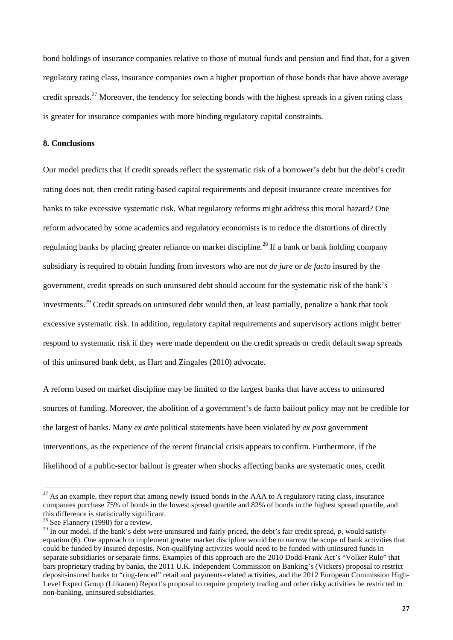bond holdings of insurance companies relative to those of mutual funds and pension and find that, for a given regulatory rating class, insurance companies own a higher proportion of those bonds that have above average credit spreads.<sup>[27](#page-27-0)</sup> Moreover, the tendency for selecting bonds with the highest spreads in a given rating class is greater for insurance companies with more binding regulatory capital constraints.

# **8. Conclusions**

Our model predicts that if credit spreads reflect the systematic risk of a borrower's debt but the debt's credit rating does not, then credit rating-based capital requirements and deposit insurance create incentives for banks to take excessive systematic risk. What regulatory reforms might address this moral hazard? One reform advocated by some academics and regulatory economists is to reduce the distortions of directly regulating banks by placing greater reliance on market discipline.<sup>[28](#page-27-1)</sup> If a bank or bank holding company subsidiary is required to obtain funding from investors who are not *de jure* or *de facto* insured by the government, credit spreads on such uninsured debt should account for the systematic risk of the bank's investments.<sup>[29](#page-27-2)</sup> Credit spreads on uninsured debt would then, at least partially, penalize a bank that took excessive systematic risk. In addition, regulatory capital requirements and supervisory actions might better respond to systematic risk if they were made dependent on the credit spreads or credit default swap spreads of this uninsured bank debt, as Hart and Zingales (2010) advocate.

A reform based on market discipline may be limited to the largest banks that have access to uninsured sources of funding. Moreover, the abolition of a government's de facto bailout policy may not be credible for the largest of banks. Many *ex ante* political statements have been violated by *ex post* government interventions, as the experience of the recent financial crisis appears to confirm. Furthermore, if the likelihood of a public-sector bailout is greater when shocks affecting banks are systematic ones, credit

<span id="page-27-0"></span><sup>&</sup>lt;sup>27</sup> As an example, they report that among newly issued bonds in the AAA to A regulatory rating class, insurance companies purchase 75% of bonds in the lowest spread quartile and 82% of bonds in the highest spread quartile, and this difference is statistically significant.

<span id="page-27-1"></span> $28$  See Flannery (1998) for a review.

<span id="page-27-2"></span> $^{29}$  In our model, if the bank's debt were uninsured and fairly priced, the debt's fair credit spread,  $p$ , would satisfy equation (6). One approach to implement greater market discipline would be to narrow the scope of bank activities that could be funded by insured deposits. Non-qualifying activities would need to be funded with uninsured funds in separate subsidiaries or separate firms. Examples of this approach are the 2010 Dodd-Frank Act's "Volker Rule" that bars proprietary trading by banks, the 2011 U.K. Independent Commission on Banking's (Vickers) proposal to restrict deposit-insured banks to "ring-fenced" retail and payments-related activities, and the 2012 European Commission High-Level Expert Group (Liikanen) Report's proposal to require propriety trading and other risky activities be restricted to non-banking, uninsured subsidiaries.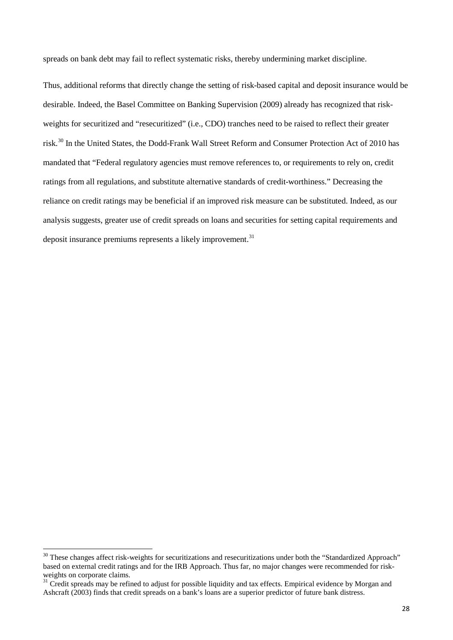spreads on bank debt may fail to reflect systematic risks, thereby undermining market discipline.

Thus, additional reforms that directly change the setting of risk-based capital and deposit insurance would be desirable. Indeed, the Basel Committee on Banking Supervision (2009) already has recognized that riskweights for securitized and "resecuritized" (i.e., CDO) tranches need to be raised to reflect their greater risk.[30](#page-28-0) In the United States, the Dodd-Frank Wall Street Reform and Consumer Protection Act of 2010 has mandated that "Federal regulatory agencies must remove references to, or requirements to rely on, credit ratings from all regulations, and substitute alternative standards of credit-worthiness." Decreasing the reliance on credit ratings may be beneficial if an improved risk measure can be substituted. Indeed, as our analysis suggests, greater use of credit spreads on loans and securities for setting capital requirements and deposit insurance premiums represents a likely improvement.<sup>[31](#page-28-1)</sup>

<span id="page-28-0"></span> $30$  These changes affect risk-weights for securitizations and resecuritizations under both the "Standardized Approach" based on external credit ratings and for the IRB Approach. Thus far, no major changes were recommended for riskweights on corporate claims.

<span id="page-28-1"></span><sup>&</sup>lt;sup>31</sup> Credit spreads may be refined to adjust for possible liquidity and tax effects. Empirical evidence by Morgan and Ashcraft (2003) finds that credit spreads on a bank's loans are a superior predictor of future bank distress.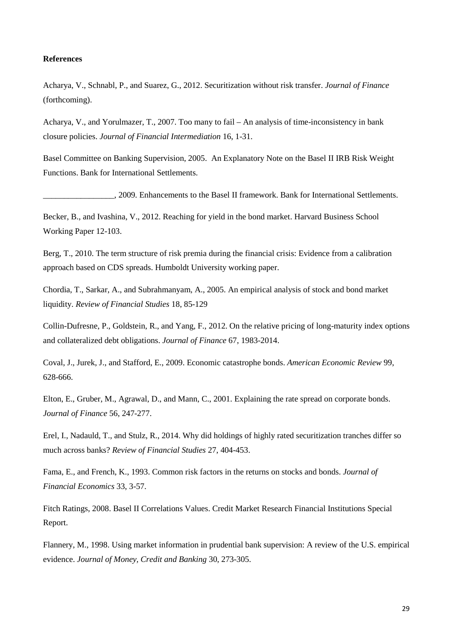### **References**

Acharya, V., Schnabl, P., and Suarez, G., 2012. Securitization without risk transfer. *Journal of Finance* (forthcoming).

Acharya, V., and Yorulmazer, T., 2007. Too many to fail – An analysis of time-inconsistency in bank closure policies. *Journal of Financial Intermediation* 16, 1-31.

Basel Committee on Banking Supervision, 2005. An Explanatory Note on the Basel II IRB Risk Weight Functions. Bank for International Settlements.

\_\_\_\_\_\_\_\_\_\_\_\_\_\_\_\_\_, 2009. Enhancements to the Basel II framework. Bank for International Settlements.

Becker, B., and Ivashina, V., 2012. Reaching for yield in the bond market. Harvard Business School Working Paper 12-103.

Berg, T., 2010. The term structure of risk premia during the financial crisis: Evidence from a calibration approach based on CDS spreads. Humboldt University working paper.

Chordia, T., Sarkar, A., and Subrahmanyam, A., 2005. An empirical analysis of stock and bond market liquidity. *Review of Financial Studies* 18, 85-129

Collin-Dufresne, P., Goldstein, R., and Yang, F., 2012. On the relative pricing of long-maturity index options and collateralized debt obligations. *Journal of Finance* 67, 1983-2014.

Coval, J., Jurek, J., and Stafford, E., 2009. Economic catastrophe bonds. *American Economic Review* 99, 628-666.

Elton, E., Gruber, M., Agrawal, D., and Mann, C., 2001. Explaining the rate spread on corporate bonds. *Journal of Finance* 56, 247-277.

Erel, I., Nadauld, T., and Stulz, R., 2014. Why did holdings of highly rated securitization tranches differ so much across banks? *Review of Financial Studies* 27, 404-453.

Fama, E., and French, K., 1993. Common risk factors in the returns on stocks and bonds. *Journal of Financial Economics* 33, 3-57.

Fitch Ratings, 2008. Basel II Correlations Values. Credit Market Research Financial Institutions Special Report.

Flannery, M., 1998. Using market information in prudential bank supervision: A review of the U.S. empirical evidence. *Journal of Money, Credit and Banking* 30, 273-305.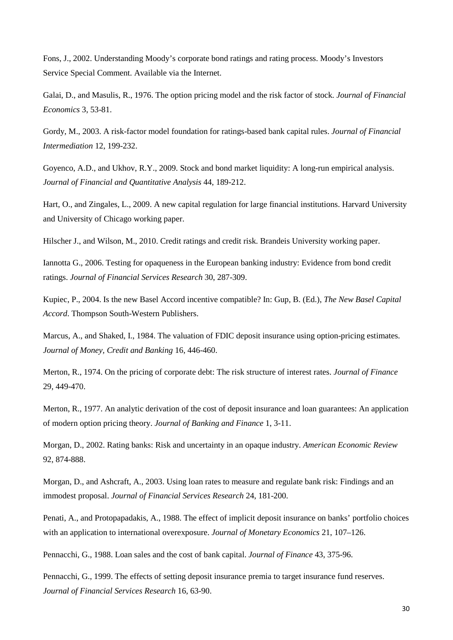Fons, J., 2002. Understanding Moody's corporate bond ratings and rating process. Moody's Investors Service Special Comment. Available via the Internet.

Galai, D., and Masulis, R., 1976. The option pricing model and the risk factor of stock. *Journal of Financial Economics* 3, 53-81.

Gordy, M., 2003. A risk-factor model foundation for ratings-based bank capital rules. *Journal of Financial Intermediation* 12, 199-232.

Goyenco, A.D., and Ukhov, R.Y., 2009. Stock and bond market liquidity: A long-run empirical analysis. *Journal of Financial and Quantitative Analysis* 44, 189-212.

Hart, O., and Zingales, L., 2009. A new capital regulation for large financial institutions. Harvard University and University of Chicago working paper.

Hilscher J., and Wilson, M., 2010. Credit ratings and credit risk. Brandeis University working paper.

Iannotta G., 2006. Testing for opaqueness in the European banking industry: Evidence from bond credit ratings. *Journal of Financial Services Research* 30, 287-309.

Kupiec, P., 2004. Is the new Basel Accord incentive compatible? In: Gup, B. (Ed.), *The New Basel Capital Accord*. Thompson South-Western Publishers.

Marcus, A., and Shaked, I., 1984. The valuation of FDIC deposit insurance using option-pricing estimates. *Journal of Money, Credit and Banking* 16, 446-460.

Merton, R., 1974. On the pricing of corporate debt: The risk structure of interest rates. *Journal of Finance* 29, 449-470.

Merton, R., 1977. An analytic derivation of the cost of deposit insurance and loan guarantees: An application of modern option pricing theory. *Journal of Banking and Finance* 1, 3-11.

Morgan, D., 2002. Rating banks: Risk and uncertainty in an opaque industry. *American Economic Review* 92, 874-888.

Morgan, D., and Ashcraft, A., 2003. Using loan rates to measure and regulate bank risk: Findings and an immodest proposal. *Journal of Financial Services Research* 24, 181-200.

Penati, A., and Protopapadakis, A., 1988. The effect of implicit deposit insurance on banks' portfolio choices with an application to international overexposure. *Journal of Monetary Economics* 21, 107–126.

Pennacchi, G., 1988. Loan sales and the cost of bank capital. *Journal of Finance* 43, 375-96.

Pennacchi, G., 1999. The effects of setting deposit insurance premia to target insurance fund reserves. *Journal of Financial Services Research* 16, 63-90.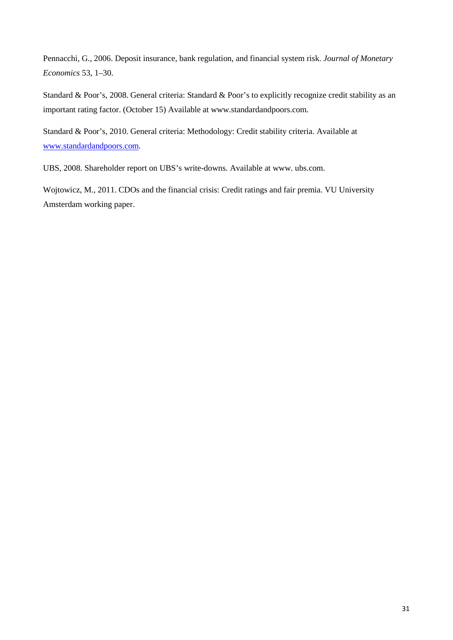Pennacchi, G., 2006. Deposit insurance, bank regulation, and financial system risk. *Journal of Monetary Economics* 53, 1–30.

Standard & Poor's, 2008. General criteria: Standard & Poor's to explicitly recognize credit stability as an important rating factor. (October 15) Available at www.standardandpoors.com.

Standard & Poor's, 2010. General criteria: Methodology: Credit stability criteria. Available at [www.standardandpoors.com.](http://www.standardandpoors.com/)

UBS, 2008. Shareholder report on UBS's write-downs. Available at www. ubs.com.

Wojtowicz, M., 2011. CDOs and the financial crisis: Credit ratings and fair premia. VU University Amsterdam working paper.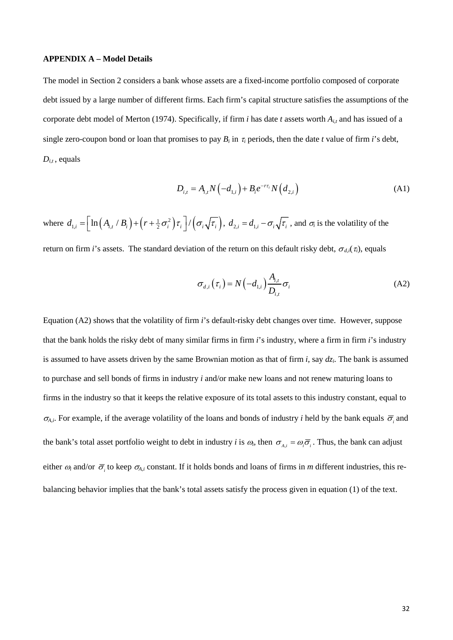## **APPENDIX A – Model Details**

The model in Section 2 considers a bank whose assets are a fixed-income portfolio composed of corporate debt issued by a large number of different firms. Each firm's capital structure satisfies the assumptions of the corporate debt model of Merton (1974). Specifically, if firm *i* has date *t* assets worth *Ai*,*<sup>t</sup>* and has issued of a single zero-coupon bond or loan that promises to pay  $B_i$  in  $\tau_i$  periods, then the date *t* value of firm *i*'s debt,  $D_{i,t}$ , equals

$$
D_{i,t} = A_{i,t} N\left(-d_{1,i}\right) + B_i e^{-r\tau_i} N\left(d_{2,i}\right)
$$
\n(A1)

where  $d_{1,i} = \left[ \ln \left( A_{i,t} / B_i \right) + \left( r + \frac{1}{2} \sigma_i^2 \right) \tau_i \right] / \left( \sigma_i \sqrt{\tau_i} \right), d_{2,i} = d_{1,i} - \sigma_i \sqrt{\tau_i}$ , and  $\sigma_i$  is the volatility of the return on firm *i*'s assets. The standard deviation of the return on this default risky debt,  $\sigma_{d,i}(\tau_i)$ , equals

$$
\sigma_{d,i}\left(\tau_{i}\right) = N\left(-d_{1,i}\right) \frac{A_{i,t}}{D_{i,t}} \sigma_{i}
$$
\n(A2)

Equation (A2) shows that the volatility of firm *i*'s default-risky debt changes over time. However, suppose that the bank holds the risky debt of many similar firms in firm *i*'s industry, where a firm in firm *i*'s industry is assumed to have assets driven by the same Brownian motion as that of firm  $i$ , say  $dz_i$ . The bank is assumed to purchase and sell bonds of firms in industry *i* and/or make new loans and not renew maturing loans to firms in the industry so that it keeps the relative exposure of its total assets to this industry constant, equal to  $\sigma_{A,i}$ . For example, if the average volatility of the loans and bonds of industry *i* held by the bank equals  $\overline{\sigma}_i$  and the bank's total asset portfolio weight to debt in industry *i* is  $\omega_i$ , then  $\sigma_{A,i} = \omega_i \overline{\sigma}_i$ . Thus, the bank can adjust either  $\omega_i$  and/or  $\overline{\sigma}_i$  to keep  $\sigma_{A,i}$  constant. If it holds bonds and loans of firms in *m* different industries, this rebalancing behavior implies that the bank's total assets satisfy the process given in equation (1) of the text.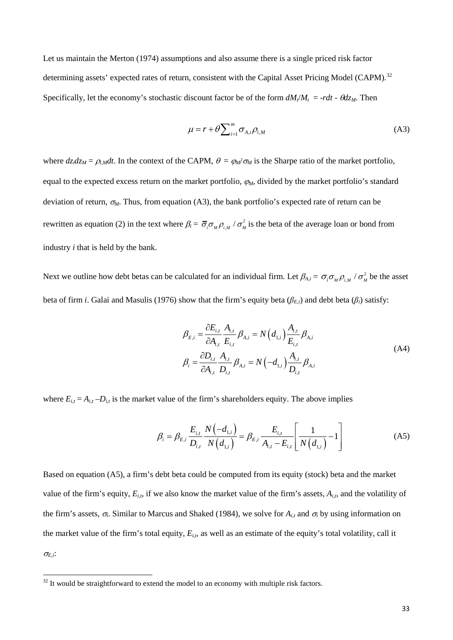Let us maintain the Merton (1974) assumptions and also assume there is a single priced risk factor determining assets' expected rates of return, consistent with the Capital Asset Pricing Model (CAPM).<sup>[32](#page-33-0)</sup> Specifically, let the economy's stochastic discount factor be of the form  $dM_t/M_t = -rdt - \theta dz_M$ . Then

$$
\mu = r + \theta \sum_{i=1}^{m} \sigma_{A,i} \rho_{i,M} \tag{A3}
$$

where  $dz_i dz_M = \rho_{i,M} dt$ . In the context of the CAPM,  $\theta = \varphi_M / \sigma_M$  is the Sharpe ratio of the market portfolio, equal to the expected excess return on the market portfolio,  $\varphi_M$ , divided by the market portfolio's standard deviation of return,  $\sigma_M$ . Thus, from equation (A3), the bank portfolio's expected rate of return can be rewritten as equation (2) in the text where  $\beta_i = \overline{\sigma}_i \sigma_M \rho_{i,M} / \sigma_M^2$  is the beta of the average loan or bond from industry *i* that is held by the bank.

Next we outline how debt betas can be calculated for an individual firm. Let  $\beta_{A,i} = \sigma_i \sigma_M \rho_{i,M} / \sigma_M^2$  be the asset beta of firm *i*. Galai and Masulis (1976) show that the firm's equity beta ( $\beta_{E,i}$ ) and debt beta ( $\beta_i$ ) satisfy:

$$
\beta_{E,i} = \frac{\partial E_{i,t}}{\partial A_{i,t}} \frac{A_{i,t}}{E_{i,t}} \beta_{A,i} = N(d_{1,i}) \frac{A_{i,t}}{E_{i,t}} \beta_{A,i}
$$
\n
$$
\beta_i = \frac{\partial D_{i,t}}{\partial A_{i,t}} \frac{A_{i,t}}{D_{i,t}} \beta_{A,i} = N(-d_{1,i}) \frac{A_{i,t}}{D_{i,t}} \beta_{A,i}
$$
\n(A4)

where  $E_{i,t} = A_{i,t} - D_{i,t}$  is the market value of the firm's shareholders equity. The above implies

$$
\beta_{i} = \beta_{E,i} \frac{E_{i,t}}{D_{i,t}} \frac{N(-d_{1,i})}{N(d_{1,i})} = \beta_{E,i} \frac{E_{i,t}}{A_{i,t} - E_{i,t}} \left[ \frac{1}{N(d_{1,i})} - 1 \right]
$$
(A5)

Based on equation (A5), a firm's debt beta could be computed from its equity (stock) beta and the market value of the firm's equity,  $E_{i,t}$ , if we also know the market value of the firm's assets,  $A_{i,t}$ , and the volatility of the firm's assets,  $\sigma_i$ . Similar to Marcus and Shaked (1984), we solve for  $A_{i,t}$  and  $\sigma_i$  by using information on the market value of the firm's total equity, *Ei*,*<sup>t</sup>*, as well as an estimate of the equity's total volatility, call it <sup>σ</sup>*E*,*<sup>i</sup>*:

**.** 

<span id="page-33-0"></span> $32$  It would be straightforward to extend the model to an economy with multiple risk factors.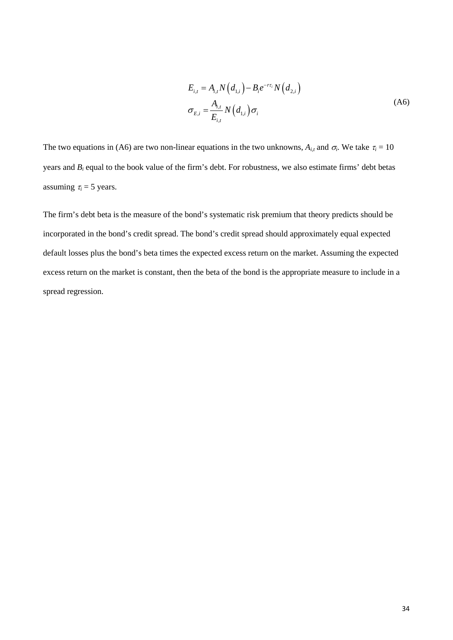$$
E_{i,t} = A_{i,t} N(d_{1,i}) - B_i e^{-r\tau_i} N(d_{2,i})
$$
  
\n
$$
\sigma_{E,i} = \frac{A_{i,t}}{E_{i,t}} N(d_{1,i}) \sigma_i
$$
\n(A6)

The two equations in (A6) are two non-linear equations in the two unknowns,  $A_{i,t}$  and  $\sigma_i$ . We take  $\tau_i = 10$ years and *Bi* equal to the book value of the firm's debt. For robustness, we also estimate firms' debt betas assuming  $\tau_i = 5$  years.

The firm's debt beta is the measure of the bond's systematic risk premium that theory predicts should be incorporated in the bond's credit spread. The bond's credit spread should approximately equal expected default losses plus the bond's beta times the expected excess return on the market. Assuming the expected excess return on the market is constant, then the beta of the bond is the appropriate measure to include in a spread regression.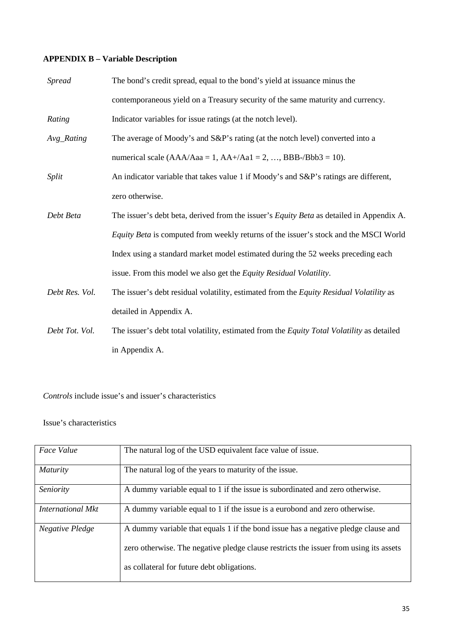# **APPENDIX B – Variable Description**

| <b>Spread</b>  | The bond's credit spread, equal to the bond's yield at issuance minus the                       |
|----------------|-------------------------------------------------------------------------------------------------|
|                | contemporaneous yield on a Treasury security of the same maturity and currency.                 |
| Rating         | Indicator variables for issue ratings (at the notch level).                                     |
| Avg_Rating     | The average of Moody's and S&P's rating (at the notch level) converted into a                   |
|                | numerical scale (AAA/Aaa = 1, AA+/Aa1 = 2, , BBB-/Bbb3 = 10).                                   |
| Split          | An indicator variable that takes value 1 if Moody's and S&P's ratings are different,            |
|                | zero otherwise.                                                                                 |
| Debt Beta      | The issuer's debt beta, derived from the issuer's <i>Equity Beta</i> as detailed in Appendix A. |
|                | Equity Beta is computed from weekly returns of the issuer's stock and the MSCI World            |
|                | Index using a standard market model estimated during the 52 weeks preceding each                |
|                | issue. From this model we also get the Equity Residual Volatility.                              |
| Debt Res. Vol. | The issuer's debt residual volatility, estimated from the Equity Residual Volatility as         |
|                | detailed in Appendix A.                                                                         |
| Debt Tot. Vol. | The issuer's debt total volatility, estimated from the Equity Total Volatility as detailed      |
|                | in Appendix A.                                                                                  |

*Controls* include issue's and issuer's characteristics

# Issue's characteristics

| Face Value        | The natural log of the USD equivalent face value of issue.                            |
|-------------------|---------------------------------------------------------------------------------------|
| <b>Maturity</b>   | The natural log of the years to maturity of the issue.                                |
| Seniority         | A dummy variable equal to 1 if the issue is subordinated and zero otherwise.          |
| International Mkt | A dummy variable equal to 1 if the issue is a eurobond and zero otherwise.            |
| Negative Pledge   | A dummy variable that equals 1 if the bond issue has a negative pledge clause and     |
|                   | zero otherwise. The negative pledge clause restricts the issuer from using its assets |
|                   | as collateral for future debt obligations.                                            |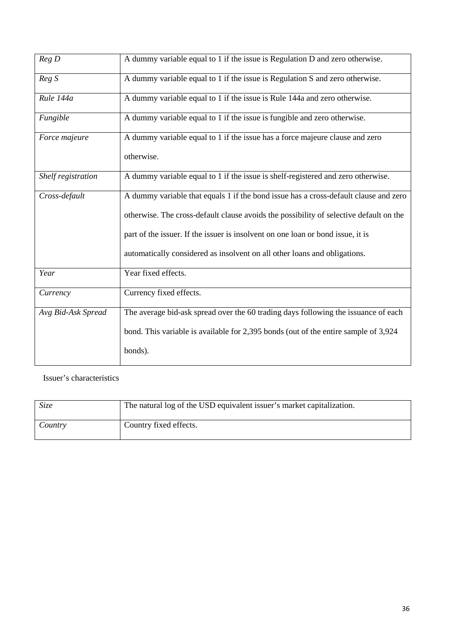| RegD               | A dummy variable equal to 1 if the issue is Regulation D and zero otherwise.           |  |  |  |  |  |  |
|--------------------|----------------------------------------------------------------------------------------|--|--|--|--|--|--|
| Reg S              | A dummy variable equal to 1 if the issue is Regulation S and zero otherwise.           |  |  |  |  |  |  |
| Rule 144a          | A dummy variable equal to 1 if the issue is Rule 144a and zero otherwise.              |  |  |  |  |  |  |
| Fungible           | A dummy variable equal to 1 if the issue is fungible and zero otherwise.               |  |  |  |  |  |  |
| Force majeure      | A dummy variable equal to 1 if the issue has a force majeure clause and zero           |  |  |  |  |  |  |
|                    | otherwise.                                                                             |  |  |  |  |  |  |
| Shelf registration | A dummy variable equal to 1 if the issue is shelf-registered and zero otherwise.       |  |  |  |  |  |  |
| Cross-default      | A dummy variable that equals 1 if the bond issue has a cross-default clause and zero   |  |  |  |  |  |  |
|                    | otherwise. The cross-default clause avoids the possibility of selective default on the |  |  |  |  |  |  |
|                    | part of the issuer. If the issuer is insolvent on one loan or bond issue, it is        |  |  |  |  |  |  |
|                    | automatically considered as insolvent on all other loans and obligations.              |  |  |  |  |  |  |
| Year               | Year fixed effects.                                                                    |  |  |  |  |  |  |
| Currency           | Currency fixed effects.                                                                |  |  |  |  |  |  |
| Avg Bid-Ask Spread | The average bid-ask spread over the 60 trading days following the issuance of each     |  |  |  |  |  |  |
|                    | bond. This variable is available for 2,395 bonds (out of the entire sample of 3,924    |  |  |  |  |  |  |
|                    | bonds).                                                                                |  |  |  |  |  |  |
|                    |                                                                                        |  |  |  |  |  |  |

Issuer's characteristics

| Size    | The natural log of the USD equivalent issuer's market capitalization. |
|---------|-----------------------------------------------------------------------|
| Country | Country fixed effects.                                                |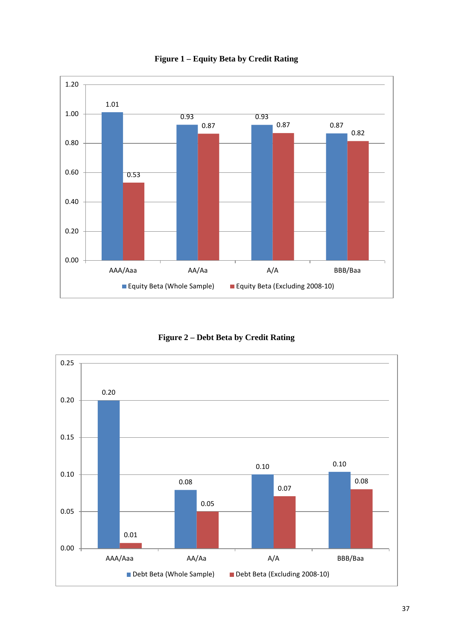

**Figure 1 – Equity Beta by Credit Rating**

**Figure 2 – Debt Beta by Credit Rating**

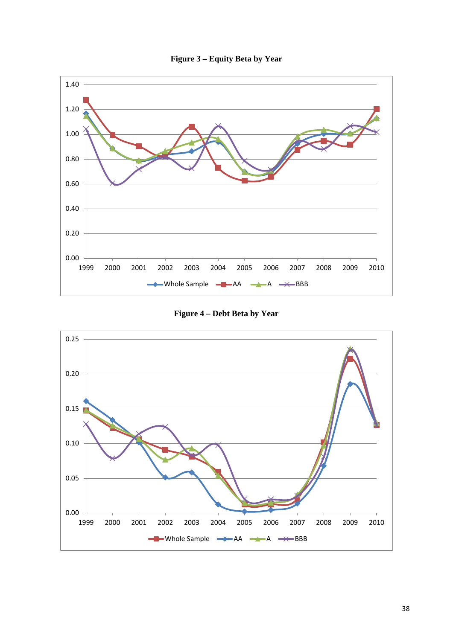

**Figure 3 – Equity Beta by Year**

**Figure 4 – Debt Beta by Year**

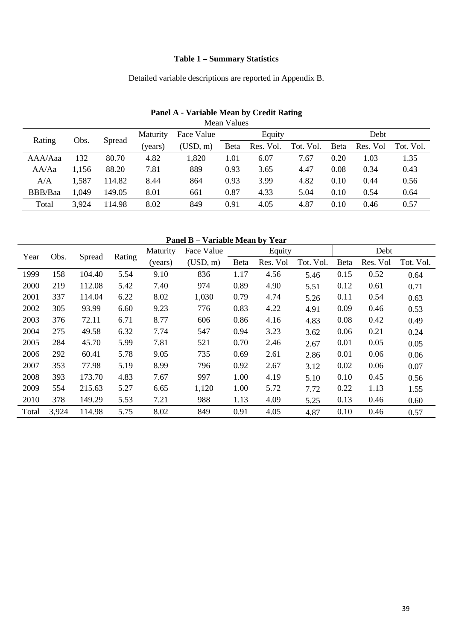# **Table 1 – Summary Statistics**

Detailed variable descriptions are reported in Appendix B.

| Mean Values    |        |         |                 |              |           |           |              |          |           |      |  |  |
|----------------|--------|---------|-----------------|--------------|-----------|-----------|--------------|----------|-----------|------|--|--|
| Rating<br>Obs. |        |         | <b>Maturity</b> | Face Value   |           |           | Equity       |          |           | Debt |  |  |
|                | Spread | (years) | (USD, m)        | <b>B</b> eta | Res. Vol. | Tot. Vol. | <b>B</b> eta | Res. Vol | Tot. Vol. |      |  |  |
| AAA/Aaa        | 132    | 80.70   | 4.82            | 1,820        | 1.01      | 6.07      | 7.67         | 0.20     | 1.03      | 1.35 |  |  |
| AA/Aa          | 1,156  | 88.20   | 7.81            | 889          | 0.93      | 3.65      | 4.47         | 0.08     | 0.34      | 0.43 |  |  |
| A/A            | 1,587  | 114.82  | 8.44            | 864          | 0.93      | 3.99      | 4.82         | 0.10     | 0.44      | 0.56 |  |  |
| BBB/Baa        | 1,049  | 149.05  | 8.01            | 661          | 0.87      | 4.33      | 5.04         | 0.10     | 0.54      | 0.64 |  |  |
| Total          | 3,924  | 114.98  | 8.02            | 849          | 0.91      | 4.05      | 4.87         | 0.10     | 0.46      | 0.57 |  |  |

# **Panel A - Variable Mean by Credit Rating**

**Panel B – Variable Mean by Year**

| Year  | Obs.  | Spread |        | Maturity | Face Value | Equity |          |           |      | Debt     |           |
|-------|-------|--------|--------|----------|------------|--------|----------|-----------|------|----------|-----------|
|       |       |        | Rating | (years)  | (USD, m)   | Beta   | Res. Vol | Tot. Vol. | Beta | Res. Vol | Tot. Vol. |
| 1999  | 158   | 104.40 | 5.54   | 9.10     | 836        | 1.17   | 4.56     | 5.46      | 0.15 | 0.52     | 0.64      |
| 2000  | 219   | 112.08 | 5.42   | 7.40     | 974        | 0.89   | 4.90     | 5.51      | 0.12 | 0.61     | 0.71      |
| 2001  | 337   | 114.04 | 6.22   | 8.02     | 1,030      | 0.79   | 4.74     | 5.26      | 0.11 | 0.54     | 0.63      |
| 2002  | 305   | 93.99  | 6.60   | 9.23     | 776        | 0.83   | 4.22     | 4.91      | 0.09 | 0.46     | 0.53      |
| 2003  | 376   | 72.11  | 6.71   | 8.77     | 606        | 0.86   | 4.16     | 4.83      | 0.08 | 0.42     | 0.49      |
| 2004  | 275   | 49.58  | 6.32   | 7.74     | 547        | 0.94   | 3.23     | 3.62      | 0.06 | 0.21     | 0.24      |
| 2005  | 284   | 45.70  | 5.99   | 7.81     | 521        | 0.70   | 2.46     | 2.67      | 0.01 | 0.05     | 0.05      |
| 2006  | 292   | 60.41  | 5.78   | 9.05     | 735        | 0.69   | 2.61     | 2.86      | 0.01 | 0.06     | 0.06      |
| 2007  | 353   | 77.98  | 5.19   | 8.99     | 796        | 0.92   | 2.67     | 3.12      | 0.02 | 0.06     | 0.07      |
| 2008  | 393   | 173.70 | 4.83   | 7.67     | 997        | 1.00   | 4.19     | 5.10      | 0.10 | 0.45     | 0.56      |
| 2009  | 554   | 215.63 | 5.27   | 6.65     | 1,120      | 1.00   | 5.72     | 7.72      | 0.22 | 1.13     | 1.55      |
| 2010  | 378   | 149.29 | 5.53   | 7.21     | 988        | 1.13   | 4.09     | 5.25      | 0.13 | 0.46     | 0.60      |
| Total | 3,924 | 114.98 | 5.75   | 8.02     | 849        | 0.91   | 4.05     | 4.87      | 0.10 | 0.46     | 0.57      |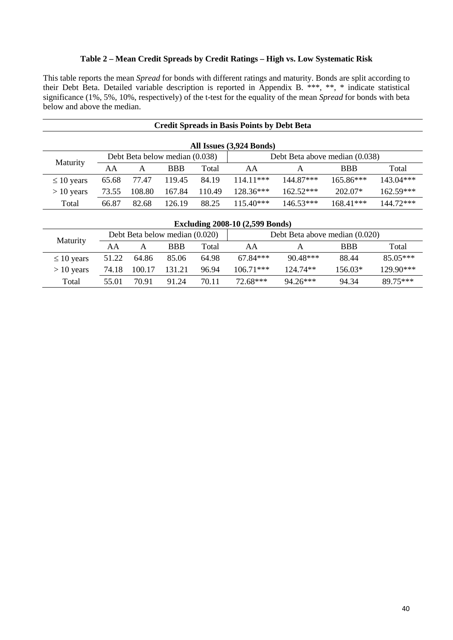# **Table 2 – Mean Credit Spreads by Credit Ratings – High vs. Low Systematic Risk**

This table reports the mean *Spread* for bonds with different ratings and maturity. Bonds are split according to their Debt Beta. Detailed variable description is reported in Appendix B. \*\*\*, \*\*, \* indicate statistical significance (1%, 5%, 10%, respectively) of the t-test for the equality of the mean *Spread* for bonds with beta below and above the median.

| <b>Credit Spreads in Basis Points by Debt Beta</b> |          |                |                                |                           |             |             |                                |            |  |
|----------------------------------------------------|----------|----------------|--------------------------------|---------------------------|-------------|-------------|--------------------------------|------------|--|
| All Issues (3,924 Bonds)                           |          |                |                                |                           |             |             |                                |            |  |
|                                                    |          |                | Debt Beta below median (0.038) |                           |             |             | Debt Beta above median (0.038) |            |  |
| Maturity                                           | AA       | A              | <b>BBB</b>                     | Total                     | AA          | A           | <b>BBB</b>                     | Total      |  |
| $\leq 10$ years                                    | 65.68    | 77.47          | 119.45                         | 84.19                     | $114.11***$ | 144.87***   | $165.86***$                    | 143.04***  |  |
| $> 10$ years                                       | 73.55    | 108.80         | 167.84                         | 110.49                    | $128.36***$ | $162.52***$ | $202.07*$                      | 162.59***  |  |
| Total                                              | 66.87    | 82.68          | 126.19                         | 88.25                     | $115.40***$ | $146.53***$ | $168.41***$                    | 144.72***  |  |
|                                                    |          |                |                                |                           |             |             |                                |            |  |
| <b>Excluding 2008-10 (2,599 Bonds)</b>             |          |                |                                |                           |             |             |                                |            |  |
|                                                    |          |                | Debt Beta below median (0.020) |                           |             |             | Debt Beta above median (0.020) |            |  |
| Maturity                                           | $\cdots$ | $\blacksquare$ | <b>DDD</b>                     | $\mathbf{m}$ $\mathbf{1}$ | $\cdots$    |             | nnn.                           | <b>m</b> 1 |  |

| Maturity | AA              |       | <b>BBB</b> | Total  | AΑ    |             | <b>BBB</b> | Total     |             |
|----------|-----------------|-------|------------|--------|-------|-------------|------------|-----------|-------------|
|          | $\leq 10$ years | 51.22 | 64.86      | 85.06  | 64.98 | $67.84***$  | $90.48***$ | 88.44     | $85.05***$  |
|          | $>10$ years     | 74.18 | 100.17     | 131.21 | 96.94 | $106.71***$ | $124.74**$ | $156.03*$ | $129.90***$ |
|          | Total           | 55.01 | 70.91      | 91.24  | 70.11 | 72.68***    | $94.26***$ | 94.34     | 89.75***    |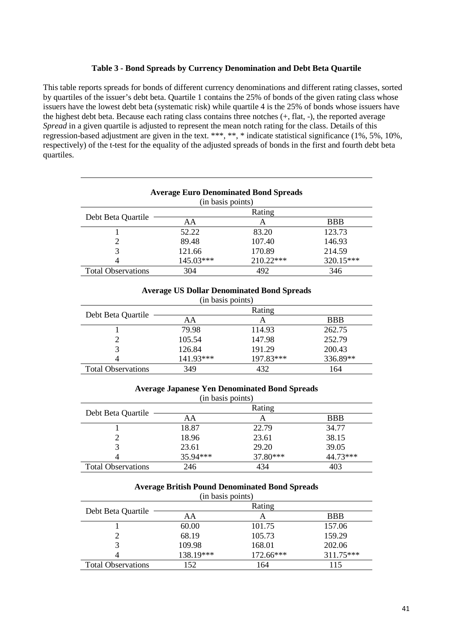# **Table 3 - Bond Spreads by Currency Denomination and Debt Beta Quartile**

This table reports spreads for bonds of different currency denominations and different rating classes, sorted by quartiles of the issuer's debt beta. Quartile 1 contains the 25% of bonds of the given rating class whose issuers have the lowest debt beta (systematic risk) while quartile 4 is the 25% of bonds whose issuers have the highest debt beta. Because each rating class contains three notches (+, flat, -), the reported average *Spread* in a given quartile is adjusted to represent the mean notch rating for the class. Details of this regression-based adjustment are given in the text. \*\*\*, \*\*, \* indicate statistical significance (1%, 5%, 10%, respectively) of the t-test for the equality of the adjusted spreads of bonds in the first and fourth debt beta quartiles.

| <b>Average Euro Denominated Bond Spreads</b><br>(in basis points) |           |           |            |  |  |  |  |
|-------------------------------------------------------------------|-----------|-----------|------------|--|--|--|--|
| Debt Beta Quartile                                                |           | Rating    |            |  |  |  |  |
|                                                                   | AA        | A         | <b>BBB</b> |  |  |  |  |
|                                                                   | 52.22     | 83.20     | 123.73     |  |  |  |  |
|                                                                   | 89.48     | 107.40    | 146.93     |  |  |  |  |
|                                                                   | 121.66    | 170.89    | 214.59     |  |  |  |  |
|                                                                   | 145.03*** | 210.22*** | 320.15***  |  |  |  |  |
| <b>Total Observations</b>                                         | 304       | 492       | 346        |  |  |  |  |

# **Average US Dollar Denominated Bond Spreads**

| (in basis points)         |           |           |            |  |  |  |  |
|---------------------------|-----------|-----------|------------|--|--|--|--|
| Debt Beta Quartile        | Rating    |           |            |  |  |  |  |
|                           | AΑ        | A         | <b>BBB</b> |  |  |  |  |
|                           | 79.98     | 114.93    | 262.75     |  |  |  |  |
|                           | 105.54    | 147.98    | 252.79     |  |  |  |  |
|                           | 126.84    | 191.29    | 200.43     |  |  |  |  |
|                           | 141.93*** | 197.83*** | 336.89**   |  |  |  |  |
| <b>Total Observations</b> | 349       | 432       | 164        |  |  |  |  |
|                           |           |           |            |  |  |  |  |

# **Average Japanese Yen Denominated Bond Spreads**

(in basis points) Debt Beta Quartile **Rating** Rating A AA A BBB 1 18.87 22.79 34.77 2 18.96 23.61 38.15 3 23.61 29.20 39.05 4 35.94\*\*\* 37.80\*\*\* 44.73\*\*\*

Total Observations 246 434 403

#### **Average British Pound Denominated Bond Spreads** (in basis points)

|                           | Rating    |           |             |  |  |  |
|---------------------------|-----------|-----------|-------------|--|--|--|
| Debt Beta Quartile        | AA        |           | <b>BBB</b>  |  |  |  |
|                           | 60.00     | 101.75    | 157.06      |  |  |  |
|                           | 68.19     | 105.73    | 159.29      |  |  |  |
|                           | 109.98    | 168.01    | 202.06      |  |  |  |
|                           | 138.19*** | 172.66*** | $311.75***$ |  |  |  |
| <b>Total Observations</b> | 152       | 164       | 115         |  |  |  |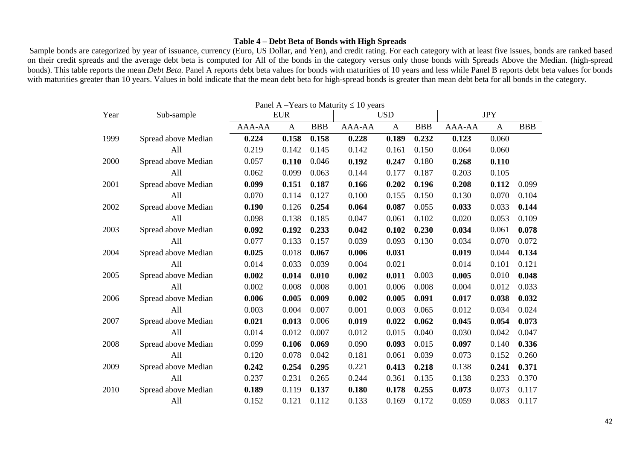# **Table 4 – Debt Beta of Bonds with High Spreads**

Sample bonds are categorized by year of issuance, currency (Euro, US Dollar, and Yen), and credit rating. For each category with at least five issues, bonds are ranked based on their credit spreads and the average debt beta is computed for All of the bonds in the category versus only those bonds with Spreads Above the Median. (high-spread bonds). This table reports the mean *Debt Beta.* Panel A reports debt beta values for bonds with maturities of 10 years and less while Panel B reports debt beta values for bonds with maturities greater than 10 years. Values in bold indicate that the mean debt beta for high-spread bonds is greater than mean debt beta for all bonds in the category.

| Panel A –Years to Maturity $\leq 10$ years |                     |            |              |            |            |              |            |            |              |            |  |
|--------------------------------------------|---------------------|------------|--------------|------------|------------|--------------|------------|------------|--------------|------------|--|
| Year                                       | Sub-sample          | <b>EUR</b> |              |            | <b>USD</b> |              |            | <b>JPY</b> |              |            |  |
|                                            |                     | AAA-AA     | $\mathbf{A}$ | <b>BBB</b> | AAA-AA     | $\mathbf{A}$ | <b>BBB</b> | AAA-AA     | $\mathbf{A}$ | <b>BBB</b> |  |
| 1999                                       | Spread above Median | 0.224      | 0.158        | 0.158      | 0.228      | 0.189        | 0.232      | 0.123      | 0.060        |            |  |
|                                            | All                 | 0.219      | 0.142        | 0.145      | 0.142      | 0.161        | 0.150      | 0.064      | 0.060        |            |  |
| 2000                                       | Spread above Median | 0.057      | 0.110        | 0.046      | 0.192      | 0.247        | 0.180      | 0.268      | 0.110        |            |  |
|                                            | All                 | 0.062      | 0.099        | 0.063      | 0.144      | 0.177        | 0.187      | 0.203      | 0.105        |            |  |
| 2001                                       | Spread above Median | 0.099      | 0.151        | 0.187      | 0.166      | 0.202        | 0.196      | 0.208      | 0.112        | 0.099      |  |
|                                            | All                 | 0.070      | 0.114        | 0.127      | 0.100      | 0.155        | 0.150      | 0.130      | 0.070        | 0.104      |  |
| 2002                                       | Spread above Median | 0.190      | 0.126        | 0.254      | 0.064      | 0.087        | 0.055      | 0.033      | 0.033        | 0.144      |  |
|                                            | All                 | 0.098      | 0.138        | 0.185      | 0.047      | 0.061        | 0.102      | 0.020      | 0.053        | 0.109      |  |
| 2003                                       | Spread above Median | 0.092      | 0.192        | 0.233      | 0.042      | 0.102        | 0.230      | 0.034      | 0.061        | 0.078      |  |
|                                            | All                 | 0.077      | 0.133        | 0.157      | 0.039      | 0.093        | 0.130      | 0.034      | 0.070        | 0.072      |  |
| 2004                                       | Spread above Median | 0.025      | 0.018        | 0.067      | 0.006      | 0.031        |            | 0.019      | 0.044        | 0.134      |  |
|                                            | All                 | 0.014      | 0.033        | 0.039      | 0.004      | 0.021        |            | 0.014      | 0.101        | 0.121      |  |
| 2005                                       | Spread above Median | 0.002      | 0.014        | 0.010      | 0.002      | 0.011        | 0.003      | 0.005      | 0.010        | 0.048      |  |
|                                            | All                 | 0.002      | 0.008        | 0.008      | 0.001      | 0.006        | 0.008      | 0.004      | 0.012        | 0.033      |  |
| 2006                                       | Spread above Median | 0.006      | 0.005        | 0.009      | 0.002      | 0.005        | 0.091      | 0.017      | 0.038        | 0.032      |  |
|                                            | All                 | 0.003      | 0.004        | 0.007      | 0.001      | 0.003        | 0.065      | 0.012      | 0.034        | 0.024      |  |
| 2007                                       | Spread above Median | 0.021      | 0.013        | 0.006      | 0.019      | 0.022        | 0.062      | 0.045      | 0.054        | 0.073      |  |
|                                            | All                 | 0.014      | 0.012        | 0.007      | 0.012      | 0.015        | 0.040      | 0.030      | 0.042        | 0.047      |  |
| 2008                                       | Spread above Median | 0.099      | 0.106        | 0.069      | 0.090      | 0.093        | 0.015      | 0.097      | 0.140        | 0.336      |  |
|                                            | All                 | 0.120      | 0.078        | 0.042      | 0.181      | 0.061        | 0.039      | 0.073      | 0.152        | 0.260      |  |
| 2009                                       | Spread above Median | 0.242      | 0.254        | 0.295      | 0.221      | 0.413        | 0.218      | 0.138      | 0.241        | 0.371      |  |
|                                            | All                 | 0.237      | 0.231        | 0.265      | 0.244      | 0.361        | 0.135      | 0.138      | 0.233        | 0.370      |  |
| 2010                                       | Spread above Median | 0.189      | 0.119        | 0.137      | 0.180      | 0.178        | 0.255      | 0.073      | 0.073        | 0.117      |  |
|                                            | All                 | 0.152      | 0.121        | 0.112      | 0.133      | 0.169        | 0.172      | 0.059      | 0.083        | 0.117      |  |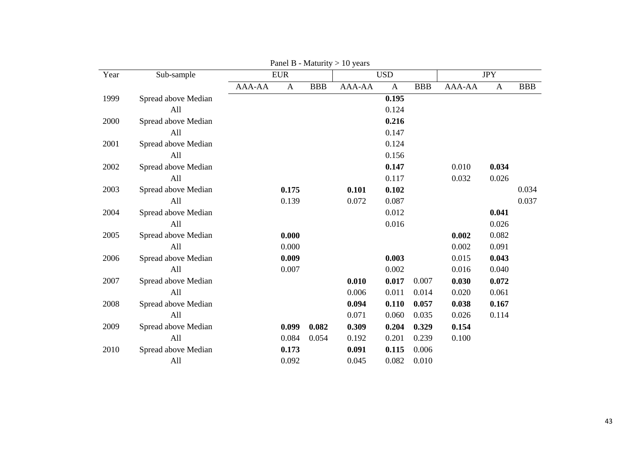| Year | Sub-sample          |        | <b>EUR</b>   |            |        | <b>USD</b>   |            | <b>JPY</b> |              |            |
|------|---------------------|--------|--------------|------------|--------|--------------|------------|------------|--------------|------------|
|      |                     | AAA-AA | $\mathbf{A}$ | <b>BBB</b> | AAA-AA | $\mathbf{A}$ | <b>BBB</b> | AAA-AA     | $\mathbf{A}$ | <b>BBB</b> |
| 1999 | Spread above Median |        |              |            |        | 0.195        |            |            |              |            |
|      | All                 |        |              |            |        | 0.124        |            |            |              |            |
| 2000 | Spread above Median |        |              |            |        | 0.216        |            |            |              |            |
|      | All                 |        |              |            |        | 0.147        |            |            |              |            |
| 2001 | Spread above Median |        |              |            |        | 0.124        |            |            |              |            |
|      | All                 |        |              |            |        | 0.156        |            |            |              |            |
| 2002 | Spread above Median |        |              |            |        | 0.147        |            | 0.010      | 0.034        |            |
|      | All                 |        |              |            |        | 0.117        |            | 0.032      | 0.026        |            |
| 2003 | Spread above Median |        | 0.175        |            | 0.101  | 0.102        |            |            |              | 0.034      |
|      | All                 |        | 0.139        |            | 0.072  | 0.087        |            |            |              | 0.037      |
| 2004 | Spread above Median |        |              |            |        | 0.012        |            |            | 0.041        |            |
|      | All                 |        |              |            |        | 0.016        |            |            | 0.026        |            |
| 2005 | Spread above Median |        | 0.000        |            |        |              |            | 0.002      | 0.082        |            |
|      | All                 |        | 0.000        |            |        |              |            | 0.002      | 0.091        |            |
| 2006 | Spread above Median |        | 0.009        |            |        | 0.003        |            | 0.015      | 0.043        |            |
|      | All                 |        | 0.007        |            |        | 0.002        |            | 0.016      | 0.040        |            |
| 2007 | Spread above Median |        |              |            | 0.010  | 0.017        | 0.007      | 0.030      | 0.072        |            |
|      | All                 |        |              |            | 0.006  | 0.011        | 0.014      | 0.020      | 0.061        |            |
| 2008 | Spread above Median |        |              |            | 0.094  | 0.110        | 0.057      | 0.038      | 0.167        |            |
|      | All                 |        |              |            | 0.071  | 0.060        | 0.035      | 0.026      | 0.114        |            |
| 2009 | Spread above Median |        | 0.099        | 0.082      | 0.309  | 0.204        | 0.329      | 0.154      |              |            |
|      | All                 |        | 0.084        | 0.054      | 0.192  | 0.201        | 0.239      | 0.100      |              |            |
| 2010 | Spread above Median |        | 0.173        |            | 0.091  | 0.115        | 0.006      |            |              |            |
|      | All                 |        | 0.092        |            | 0.045  | 0.082        | 0.010      |            |              |            |

Panel B - Maturity  $> 10$  years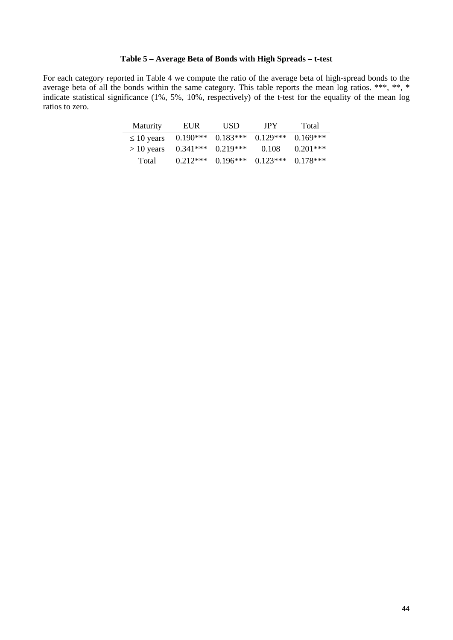# **Table 5 – Average Beta of Bonds with High Spreads – t-test**

For each category reported in Table 4 we compute the ratio of the average beta of high-spread bonds to the average beta of all the bonds within the same category. This table reports the mean log ratios. \*\*\*, \*\*, \* indicate statistical significance (1%, 5%, 10%, respectively) of the t-test for the equality of the mean log ratios to zero.

| <b>Maturity</b> | EUR.       | USD        | <b>JPY</b> | Total      |
|-----------------|------------|------------|------------|------------|
| $\leq 10$ years | $0.190***$ | $0.183***$ | $0.129***$ | $0.169***$ |
| $> 10$ years    | $0.341***$ | $0.219***$ | 0.108      | $0.201***$ |
| Total           | $0.212***$ | $0.196***$ | $0.123***$ | $0.178***$ |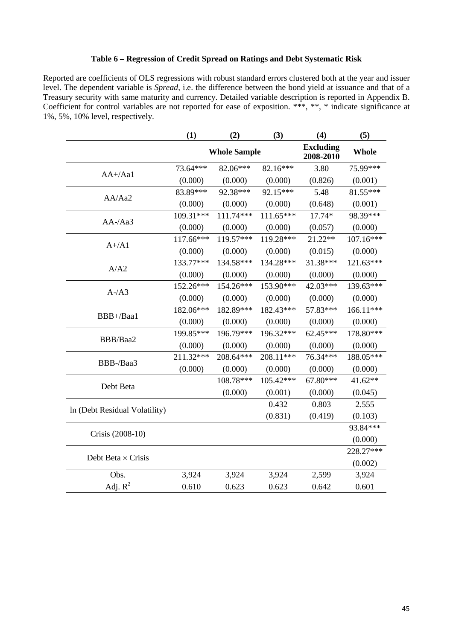# **Table 6 – Regression of Credit Spread on Ratings and Debt Systematic Risk**

Reported are coefficients of OLS regressions with robust standard errors clustered both at the year and issuer level. The dependent variable is *Spread*, i.e. the difference between the bond yield at issuance and that of a Treasury security with same maturity and currency. Detailed variable description is reported in Appendix B. Coefficient for control variables are not reported for ease of exposition. \*\*\*, \*\*, \* indicate significance at 1%, 5%, 10% level, respectively.

|                               | (1)         | (2)                 | (3)                           | (4)        | (5)         |
|-------------------------------|-------------|---------------------|-------------------------------|------------|-------------|
|                               |             | <b>Whole Sample</b> | <b>Excluding</b><br>2008-2010 | Whole      |             |
|                               | 73.64***    | 82.06***            | 82.16***                      | 3.80       | 75.99***    |
| $AA+/Aa1$                     | (0.000)     | (0.000)             | (0.000)                       | (0.826)    | (0.001)     |
|                               | 83.89***    | 92.38***            | 92.15***                      | 5.48       | 81.55***    |
| AA/Aa2                        | (0.000)     | (0.000)             | (0.000)                       | (0.648)    | (0.001)     |
|                               | 109.31***   | $111.74***$         | $111.65***$                   | 17.74*     | 98.39***    |
| $AA$ -/Aa3                    | (0.000)     | (0.000)             | (0.000)                       | (0.057)    | (0.000)     |
| $A+/A1$                       | $117.66***$ | 119.57***           | 119.28***                     | $21.22**$  | $107.16***$ |
|                               | (0.000)     | (0.000)             | (0.000)                       | (0.015)    | (0.000)     |
| A/A2                          | 133.77***   | 134.58***           | 134.28***                     | 31.38***   | $121.63***$ |
|                               | (0.000)     | (0.000)             | (0.000)                       | (0.000)    | (0.000)     |
|                               | 152.26***   | 154.26***           | 153.90***                     | 42.03***   | 139.63***   |
| $A-A3$                        | (0.000)     | (0.000)             | (0.000)                       | (0.000)    | (0.000)     |
|                               | 182.06***   | 182.89***           | 182.43***                     | 57.83***   | 166.11***   |
| BBB+/Baa1                     | (0.000)     | (0.000)             | (0.000)                       | (0.000)    | (0.000)     |
| BBB/Baa2                      | 199.85***   | 196.79***           | 196.32***                     | $62.45***$ | 178.80***   |
|                               | (0.000)     | (0.000)             | (0.000)                       | (0.000)    | (0.000)     |
| BBB-/Baa3                     | 211.32***   | 208.64***           | 208.11***                     | 76.34***   | 188.05***   |
|                               | (0.000)     | (0.000)             | (0.000)                       | (0.000)    | (0.000)     |
| Debt Beta                     |             | 108.78***           | 105.42***                     | 67.80***   | 41.62**     |
|                               |             | (0.000)             | (0.001)                       | (0.000)    | (0.045)     |
| In (Debt Residual Volatility) |             |                     | 0.432                         | 0.803      | 2.555       |
|                               |             |                     | (0.831)                       | (0.419)    | (0.103)     |
| Crisis (2008-10)              |             |                     |                               |            | 93.84***    |
|                               |             |                     |                               |            | (0.000)     |
|                               |             |                     |                               |            | 228.27***   |
| Debt Beta $\times$ Crisis     |             |                     |                               |            | (0.002)     |
| Obs.                          | 3,924       | 3,924               | 3,924                         | 2,599      | 3,924       |
| Adj. $R^2$                    | 0.610       | 0.623               | 0.623                         | 0.642      | 0.601       |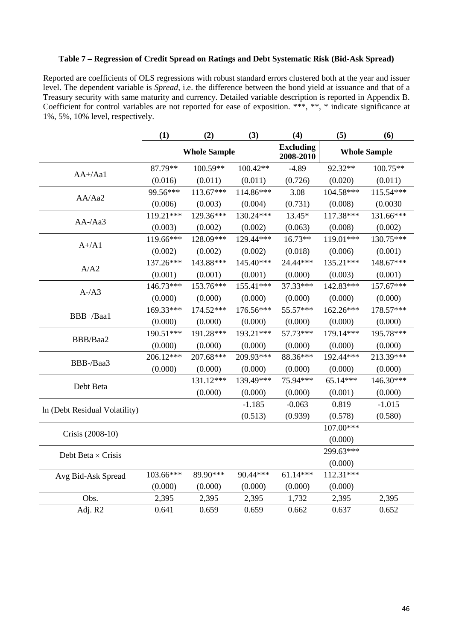# **Table 7 – Regression of Credit Spread on Ratings and Debt Systematic Risk (Bid-Ask Spread)**

Reported are coefficients of OLS regressions with robust standard errors clustered both at the year and issuer level. The dependent variable is *Spread*, i.e. the difference between the bond yield at issuance and that of a Treasury security with same maturity and currency. Detailed variable description is reported in Appendix B. Coefficient for control variables are not reported for ease of exposition. \*\*\*, \*\*, \* indicate significance at 1%, 5%, 10% level, respectively.

|                               | (1)       | (2)                 | (3)        | (4)                           | (5)         | (6)                 |
|-------------------------------|-----------|---------------------|------------|-------------------------------|-------------|---------------------|
|                               |           | <b>Whole Sample</b> |            | <b>Excluding</b><br>2008-2010 |             | <b>Whole Sample</b> |
|                               | 87.79**   | 100.59**            | $100.42**$ | $-4.89$                       | 92.32**     | 100.75**            |
| $AA+/Aa1$                     | (0.016)   | (0.011)             | (0.011)    | (0.726)                       | (0.020)     | (0.011)             |
|                               | 99.56***  | 113.67***           | 114.86***  | 3.08                          | 104.58***   | 115.54***           |
| AA/Aa2                        | (0.006)   | (0.003)             | (0.004)    | (0.731)                       | (0.008)     | (0.0030)            |
|                               | 119.21*** | 129.36***           | 130.24***  | 13.45*                        | $117.38***$ | 131.66***           |
| $AA$ -/Aa3                    | (0.003)   | (0.002)             | (0.002)    | (0.063)                       | (0.008)     | (0.002)             |
| $A+/A1$                       | 119.66*** | 128.09***           | 129.44***  | $16.73**$                     | 119.01***   | 130.75***           |
|                               | (0.002)   | (0.002)             | (0.002)    | (0.018)                       | (0.006)     | (0.001)             |
| A/A2                          | 137.26*** | 143.88***           | 145.40***  | 24.44***                      | $135.21***$ | 148.67***           |
|                               | (0.001)   | (0.001)             | (0.001)    | (0.000)                       | (0.003)     | (0.001)             |
|                               | 146.73*** | 153.76***           | 155.41***  | 37.33***                      | 142.83***   | 157.67***           |
| $A-A3$                        | (0.000)   | (0.000)             | (0.000)    | (0.000)                       | (0.000)     | (0.000)             |
| BBB+/Baa1                     | 169.33*** | 174.52***           | 176.56***  | 55.57***                      | $162.26***$ | 178.57***           |
|                               | (0.000)   | (0.000)             | (0.000)    | (0.000)                       | (0.000)     | (0.000)             |
| BBB/Baa2                      | 190.51*** | 191.28***           | 193.21***  | 57.73***                      | 179.14***   | 195.78***           |
|                               | (0.000)   | (0.000)             | (0.000)    | (0.000)                       | (0.000)     | (0.000)             |
| BBB-/Baa3                     | 206.12*** | 207.68***           | 209.93***  | 88.36***                      | 192.44***   | 213.39***           |
|                               | (0.000)   | (0.000)             | (0.000)    | (0.000)                       | (0.000)     | (0.000)             |
| Debt Beta                     |           | 131.12***           | 139.49***  | 75.94***                      | $65.14***$  | 146.30***           |
|                               |           | (0.000)             | (0.000)    | (0.000)                       | (0.001)     | (0.000)             |
| In (Debt Residual Volatility) |           |                     | $-1.185$   | $-0.063$                      | 0.819       | $-1.015$            |
|                               |           |                     | (0.513)    | (0.939)                       | (0.578)     | (0.580)             |
| Crisis (2008-10)              |           |                     |            |                               | 107.00***   |                     |
|                               |           |                     |            |                               | (0.000)     |                     |
| Debt Beta × Crisis            |           |                     |            |                               | 299.63***   |                     |
|                               |           |                     |            |                               | (0.000)     |                     |
| Avg Bid-Ask Spread            | 103.66*** | 89.90***            | 90.44***   | $61.14***$                    | $112.31***$ |                     |
|                               | (0.000)   | (0.000)             | (0.000)    | (0.000)                       | (0.000)     |                     |
| Obs.                          | 2,395     | 2,395               | 2,395      | 1,732                         | 2,395       | 2,395               |
| Adj. R2                       | 0.641     | 0.659               | 0.659      | 0.662                         | 0.637       | 0.652               |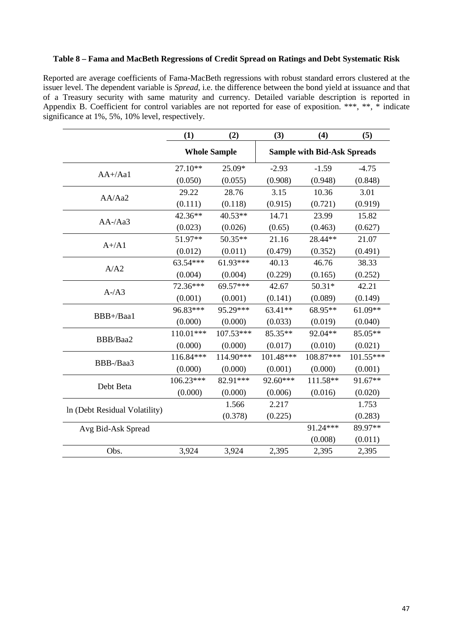# **Table 8 – Fama and MacBeth Regressions of Credit Spread on Ratings and Debt Systematic Risk**

Reported are average coefficients of Fama-MacBeth regressions with robust standard errors clustered at the issuer level. The dependent variable is *Spread*, i.e. the difference between the bond yield at issuance and that of a Treasury security with same maturity and currency. Detailed variable description is reported in Appendix B. Coefficient for control variables are not reported for ease of exposition. \*\*\*, \*\*, \* indicate significance at 1%, 5%, 10% level, respectively.

|                               | (1)                 | (2)         | (3)                                | (4)       | (5)         |  |
|-------------------------------|---------------------|-------------|------------------------------------|-----------|-------------|--|
|                               | <b>Whole Sample</b> |             | <b>Sample with Bid-Ask Spreads</b> |           |             |  |
|                               | 27.10**             | 25.09*      | $-2.93$                            | $-1.59$   | $-4.75$     |  |
| $AA+/Aa1$                     | (0.050)             | (0.055)     | (0.908)                            | (0.948)   | (0.848)     |  |
| AA/Aa2                        | 29.22               | 28.76       | 3.15                               | 10.36     | 3.01        |  |
|                               | (0.111)             | (0.118)     | (0.915)                            | (0.721)   | (0.919)     |  |
| $AA$ -/Aa3                    | 42.36**             | $40.53**$   | 14.71                              | 23.99     | 15.82       |  |
|                               | (0.023)             | (0.026)     | (0.65)                             | (0.463)   | (0.627)     |  |
| $A+/A1$                       | 51.97**             | 50.35**     | 21.16                              | 28.44**   | 21.07       |  |
|                               | (0.012)             | (0.011)     | (0.479)                            | (0.352)   | (0.491)     |  |
| A/A2                          | $63.54***$          | $61.93***$  | 40.13                              | 46.76     | 38.33       |  |
|                               | (0.004)             | (0.004)     | (0.229)                            | (0.165)   | (0.252)     |  |
|                               | 72.36***            | 69.57***    | 42.67                              | $50.31*$  | 42.21       |  |
| $A-A3$                        | (0.001)             | (0.001)     | (0.141)                            | (0.089)   | (0.149)     |  |
|                               | 96.83***            | 95.29***    | 63.41**                            | 68.95**   | 61.09**     |  |
| BBB+/Baa1                     | (0.000)             | (0.000)     | (0.033)                            | (0.019)   | (0.040)     |  |
| BBB/Baa2                      | $110.01***$         | $107.53***$ | 85.35**                            | 92.04**   | 85.05**     |  |
|                               | (0.000)             | (0.000)     | (0.017)                            | (0.010)   | (0.021)     |  |
| BBB-/Baa3                     | 116.84***           | 114.90***   | 101.48***                          | 108.87*** | $101.55***$ |  |
|                               | (0.000)             | (0.000)     | (0.001)                            | (0.000)   | (0.001)     |  |
| Debt Beta                     | $106.23***$         | 82.91***    | 92.60***                           | 111.58**  | 91.67**     |  |
|                               | (0.000)             | (0.000)     | (0.006)                            | (0.016)   | (0.020)     |  |
|                               |                     | 1.566       | 2.217                              |           | 1.753       |  |
| In (Debt Residual Volatility) |                     | (0.378)     | (0.225)                            |           | (0.283)     |  |
| Avg Bid-Ask Spread            |                     |             |                                    | 91.24***  | 89.97**     |  |
|                               |                     |             |                                    | (0.008)   | (0.011)     |  |
| Obs.                          | 3,924               | 3,924       | 2,395                              | 2,395     | 2,395       |  |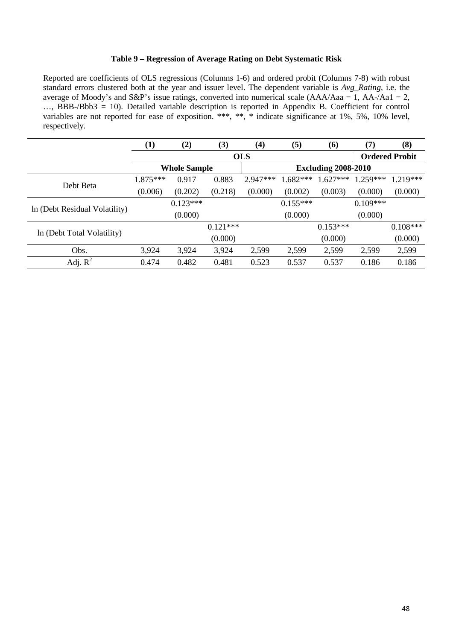# **Table 9 – Regression of Average Rating on Debt Systematic Risk**

Reported are coefficients of OLS regressions (Columns 1-6) and ordered probit (Columns 7-8) with robust standard errors clustered both at the year and issuer level. The dependent variable is *Avg\_Rating*, i.e. the average of Moody's and S&P's issue ratings, converted into numerical scale  $(AAA/Aaa = 1, AA-AA = 2,$ …, BBB-/Bbb3 = 10). Detailed variable description is reported in Appendix B. Coefficient for control variables are not reported for ease of exposition. \*\*\*, \*\*, \* indicate significance at 1%, 5%, 10% level, respectively.

|                               | (1)        | (2)                 | (3)        | (4)        | (5)                        | (6)        | (7)                   | (8)        |  |
|-------------------------------|------------|---------------------|------------|------------|----------------------------|------------|-----------------------|------------|--|
|                               |            |                     | <b>OLS</b> |            |                            |            | <b>Ordered Probit</b> |            |  |
|                               |            | <b>Whole Sample</b> |            |            | <b>Excluding 2008-2010</b> |            |                       |            |  |
| Debt Beta                     | $1.875***$ | 0.917               | 0.883      | $2.947***$ | $1.682***$                 | $1.627***$ | $1.259***$            | $1.219***$ |  |
|                               | (0.006)    | (0.202)             | (0.218)    | (0.000)    | (0.002)                    | (0.003)    | (0.000)               | (0.000)    |  |
|                               |            | $0.123***$          |            |            | $0.155***$                 |            | $0.109***$            |            |  |
| In (Debt Residual Volatility) |            | (0.000)             |            |            | (0.000)                    |            | (0.000)               |            |  |
|                               |            |                     | $0.121***$ |            |                            | $0.153***$ |                       | $0.108***$ |  |
| In (Debt Total Volatility)    |            |                     | (0.000)    |            |                            | (0.000)    |                       | (0.000)    |  |
| Obs.                          | 3,924      | 3,924               | 3,924      | 2,599      | 2,599                      | 2,599      | 2,599                 | 2,599      |  |
| Adj. $R^2$                    | 0.474      | 0.482               | 0.481      | 0.523      | 0.537                      | 0.537      | 0.186                 | 0.186      |  |